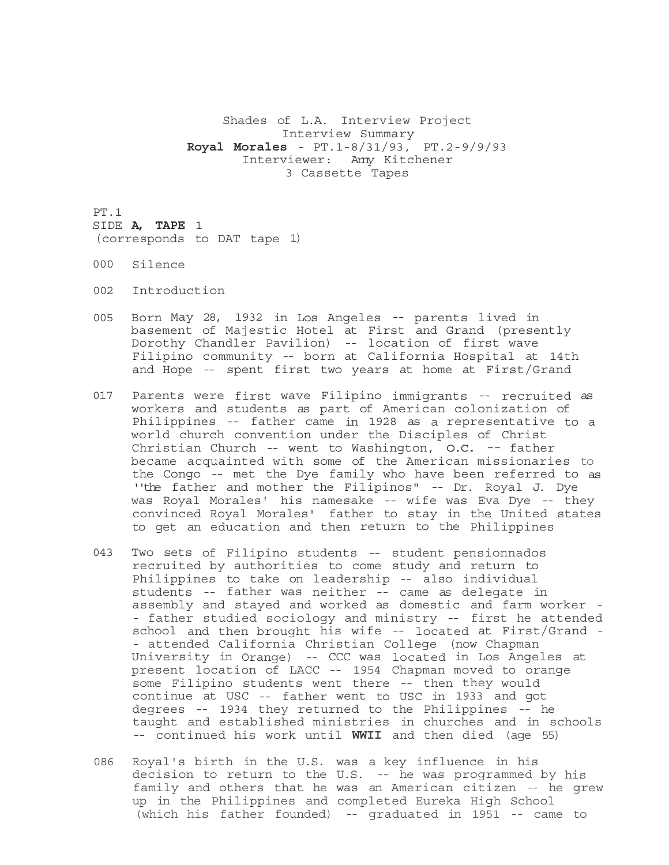Shades of L.A. Interview Project Interview Summary **Royal Morales** - PT.1-8/31/93, PT.2-9/9/93 Interviewer: Amy Kitchener 3 Cassette Tapes

PT.1 SIDE **A, TAPE** 1 (corresponds to DAT tape 1)

- 000 Silence
- 002 Introduction
- 005 Born May 28, 1932 in Los Angeles -- parents lived in basement of Majestic Hotel at First and Grand (presently Dorothy Chandler Pavilion) -- location of first wave Filipino community -- born at California Hospital at 14th and Hope -- spent first two years at home at First/Grand
- 017 Parents were first wave Filipino immigrants -- recruited as workers and students as part of American colonization of Philippines -- father came in 1928 as a representative to a world church convention under the Disciples of Christ Christian Church -- went to Washington, o.c. -- father became acquainted with some of the American missionaries to the Congo -- met the Dye family who have been referred to as ''the father and mother the Filipinos" -- Dr. Royal J. Dye was Royal Morales' his namesake -- wife was Eva Dye -- they convinced Royal Morales' father to stay in the United states to get an education and then return to the Philippines
- 043 Two sets of Filipino students -- student pensionnados recruited by authorities to come study and return to Philippines to take on leadership -- also individual students -- father was neither -- came as delegate in assembly and stayed and worked as domestic and farm worker - - father studied sociology and ministry -- first he attended school and then brought his wife -- located at First/Grand - - attended California Christian College (now Chapman University in Orange) -- CCC was located in Los Angeles at present location of LACC -- 1954 Chapman moved to orange some Filipino students went there -- then they would continue at USC -- father went to USC in 1933 and got degrees -- 1934 they returned to the Philippines -- he taught and established ministries in churches and in schools -- continued his work until **WWII** and then died (age 55)
- 086 Royal's birth in the U.S. was a key influence in his decision to return to the U.S. -- he was programmed by his family and others that he was an American citizen -- he grew up in the Philippines and completed Eureka High School (which his father founded) -- graduated in 1951 -- came to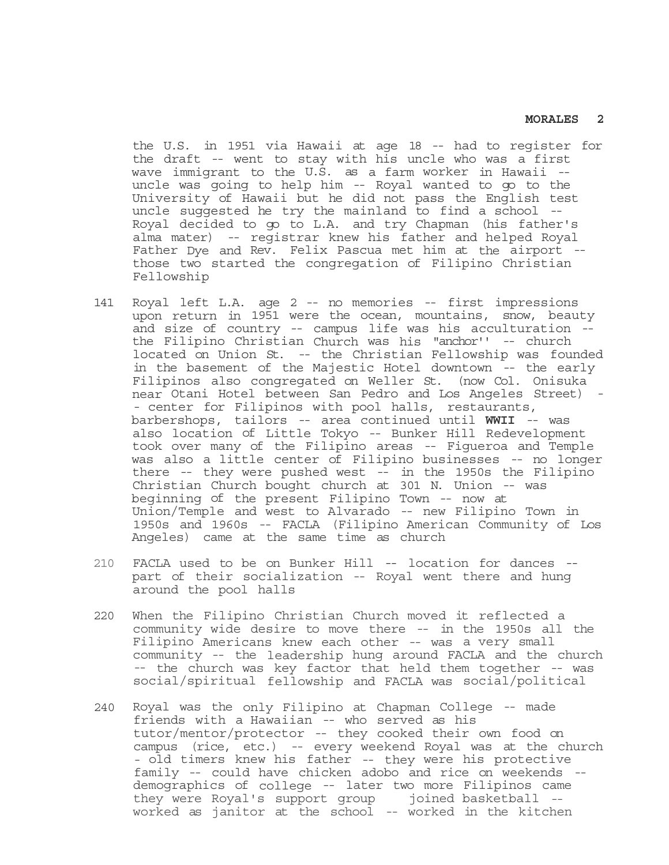the U.S. in 1951 via Hawaii at age 18 -- had to register for the draft -- went to stay with his uncle who was a first wave immigrant to the U.S. as a farm worker in Hawaii - uncle was going to help him -- Royal wanted to go to the University of Hawaii but he did not pass the English test uncle suggested he try the mainland to find a school -- Royal decided to go to L.A. and try Chapman (his father's alma mater) -- registrar knew his father and helped Royal Father Dye and Rev. Felix Pascua met him at the airport - those two started the congregation of Filipino Christian Fellowship

- 141 Royal left L.A. age 2 -- no memories -- first impressions upon return in 1951 were the ocean, mountains, snow, beauty and size of country -- campus life was his acculturation - the Filipino Christian Church was his "anchor'' -- church located on Union St. -- the Christian Fellowship was founded in the basement of the Majestic Hotel downtown -- the early Filipinos also congregated on Weller St. (now Col. Onisuka near Otani Hotel between San Pedro and Los Angeles Street) - - center for Filipinos with pool halls, restaurants, barbershops, tailors -- area continued until **WWII** -- was also location of Little Tokyo -- Bunker Hill Redevelopment took over many of the Filipino areas -- Figueroa and Temple was also a little center of Filipino businesses -- no longer there -- they were pushed west -- in the 1950s the Filipino Christian Church bought church at 301 N. Union -- was beginning of the present Filipino Town -- now at Union/Temple and west to Alvarado -- new Filipino Town in 1950s and 1960s -- FACLA (Filipino American Community of Los Angeles) came at the same time as church
- 210 FACLA used to be on Bunker Hill -- location for dances part of their socialization -- Royal went there and hung around the pool halls
- 220 When the Filipino Christian Church moved it reflected a community wide desire to move there -- in the 1950s all the Filipino Americans knew each other -- was a very small community -- the leadership hung around FACLA and the church -- the church was key factor that held them together -- was social/spiritual fellowship and FACLA was social/political
- 240 Royal was the only Filipino at Chapman College -- made friends with a Hawaiian -- who served as his tutor/mentor/protector -- they cooked their own food on campus (rice, etc.) -- every weekend Royal was at the church - old timers knew his father -- they were his protective family -- could have chicken adobo and rice on weekends - demographics of college -- later two more Filipinos came they were Royal's support group joined basketball - worked as janitor at the school -- worked in the kitchen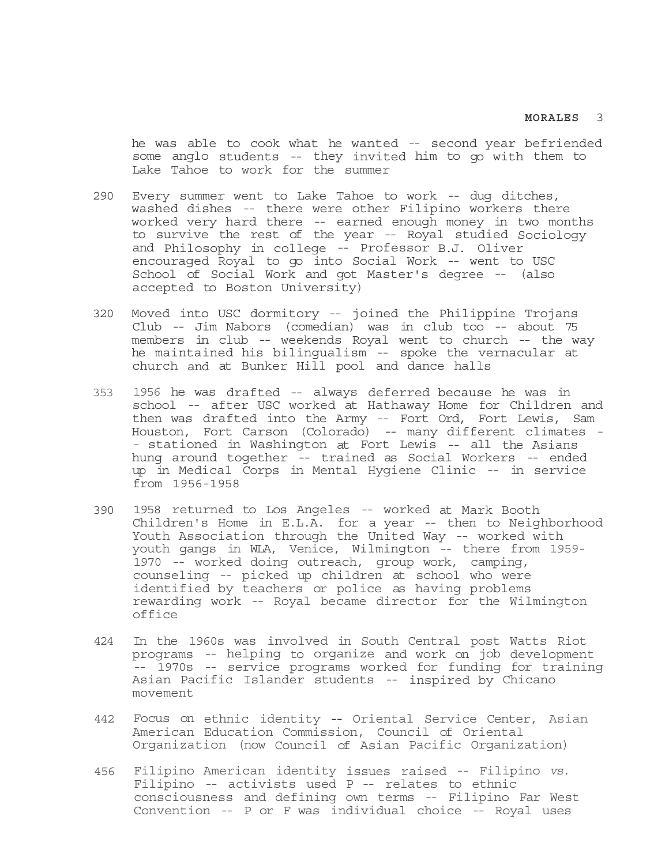he was able to cook what he wanted -- second year befriended some anglo students -- they invited him to go with them to Lake Tahoe to work for the summer

- 290 Every summer went to Lake Tahoe to work -- dug ditches, washed dishes -- there were other Filipino workers there worked very hard there -- earned enough money in two months to survive the rest of the year -- Royal studied Sociology and Philosophy in college -- Professor B.J. Oliver encouraged Royal to go into Social Work -- went to USC School of Social Work and got Master's degree -- (also accepted to Boston University)
- 320 Moved into USC dormitory -- joined the Philippine Trojans Club -- Jim Nabors (comedian) was in club too -- about 75 members in club -- weekends Royal went to church -- the way he maintained his bilingualism -- spoke the vernacular at church and at Bunker Hill pool and dance halls
- 353 1956 he was drafted -- always deferred because he was in school -- after USC worked at Hathaway Home for Children and then was drafted into the Army -- Fort Ord, Fort Lewis, Sam Houston, Fort Carson (Colorado) -- many different climates - - stationed in Washington at Fort Lewis -- all the Asians hung around together -- trained as Social Workers -- ended up in Medical Corps in Mental Hygiene Clinic -- in service from 1956-1958
- 390 1958 returned to Los Angeles -- worked at Mark Booth Children's Home in E.L.A. for a year -- then to Neighborhood Youth Association through the United Way -- worked with youth gangs in WLA, Venice, Wilmington -- there from 1959- 1970 -- worked doing outreach, group work, camping, counseling -- picked up children at school who were identified by teachers or police as having problems rewarding work -- Royal became director for the Wilmington office
- 424 In the 1960s was involved in South Central post Watts Riot programs -- helping to organize and work on job development -- 1970s -- service programs worked for funding for training Asian Pacific Islander students -- inspired by Chicano movement
- 442 Focus on ethnic identity -- Oriental Service Center, Asian American Education Commission, Council of Oriental Organization (now Council of Asian Pacific Organization)
- 456 Filipino American identity issues raised -- Filipino vs. Filipino -- activists used P -- relates to ethnic consciousness and defining own terms -- Filipino Far West Convention -- P or F was individual choice -- Royal uses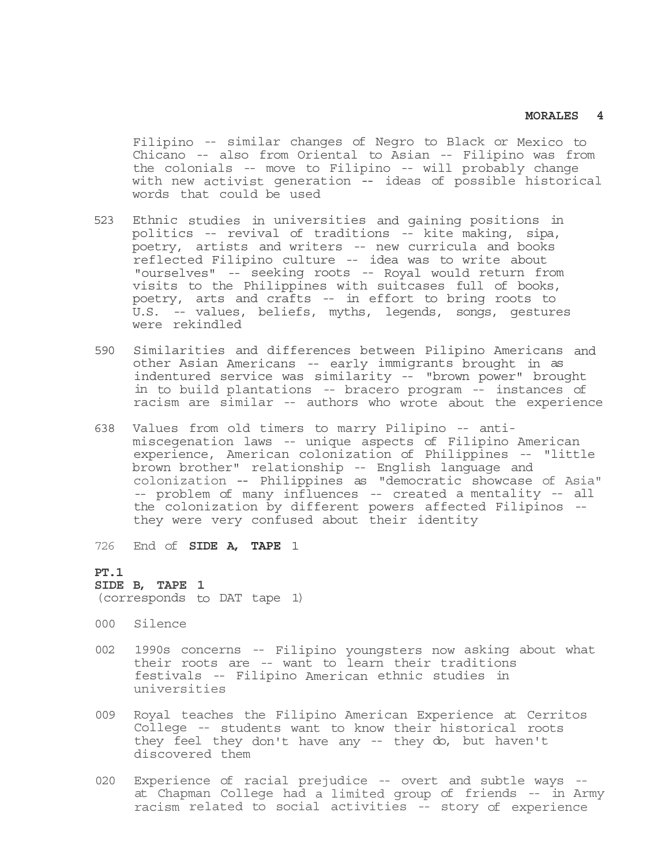Filipino -- similar changes of Negro to Black or Mexico to Chicano -- also from Oriental to Asian -- Filipino was from the colonials -- move to Filipino -- will probably change with new activist generation -- ideas of possible historical words that could be used

- 523 Ethnic studies in universities and gaining positions in politics -- revival of traditions -- kite making, sipa, poetry, artists and writers -- new curricula and books reflected Filipino culture -- idea was to write about "ourselves" -- seeking roots -- Royal would return from visits to the Philippines with suitcases full of books, poetry, arts and crafts -- in effort to bring roots to U.S. -- values, beliefs, myths, legends, songs, gestures were rekindled
- 590 Similarities and differences between Pilipino Americans and other Asian Americans -- early immigrants brought in as indentured service was similarity -- "brown power" brought in to build plantations -- bracero program -- instances of racism are similar -- authors who wrote about the experience
- 638 Values from old timers to marry Pilipino -- antimiscegenation laws -- unique aspects of Filipino American experience, American colonization of Philippines -- "little brown brother" relationship -- English language and colonization -- Philippines as "democratic showcase of Asia" -- problem of many influences -- created a mentality -- all the colonization by different powers affected Filipinos - they were very confused about their identity
- 726 End of **SIDE A, TAPE** 1

#### **PT.1**

#### **SIDE B, TAPE 1**

(corresponds to DAT tape 1)

- 000 Silence
- 002 1990s concerns -- Filipino youngsters now asking about what their roots are -- want to learn their traditions festivals -- Filipino American ethnic studies in universities
- 009 Royal teaches the Filipino American Experience at Cerritos College -- students want to know their historical roots they feel they don't have any -- they do, but haven't discovered them
- 020 Experience of racial prejudice -- overt and subtle ways at Chapman College had a limited group of friends -- in Army racism related to social activities -- story of experience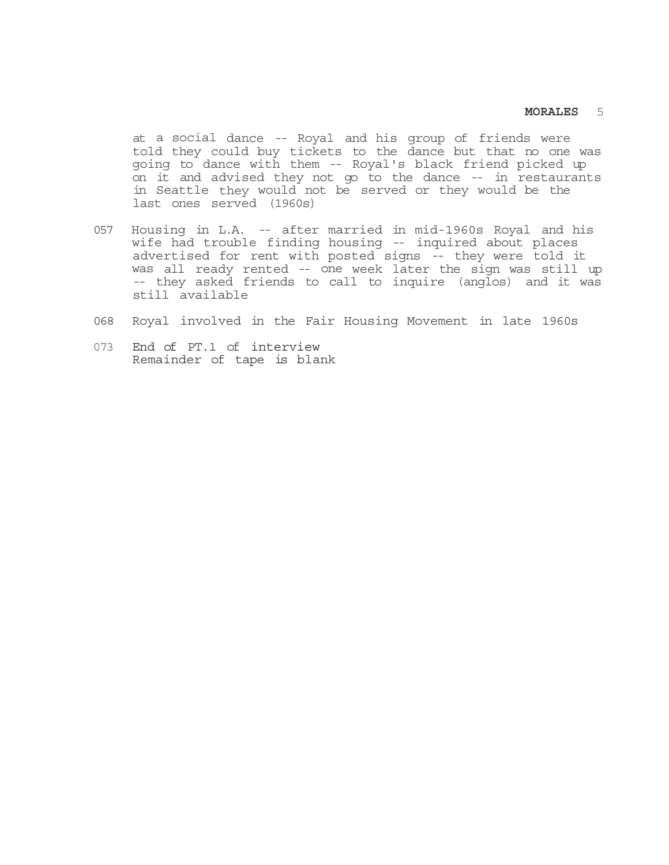at a social dance -- Royal and his group of friends were told they could buy tickets to the dance but that no one was going to dance with them -- Royal's black friend picked up on it and advised they not go to the dance -- in restaurants in Seattle they would not be served or they would be the last ones served (1960s)

- 057 Housing in L.A. -- after married in mid-1960s Royal and his wife had trouble finding housing -- inquired about places advertised for rent with posted signs -- they were told it was all ready rented -- one week later the sign was still up -- they asked friends to call to inquire (anglos) and it was still available
- 068 Royal involved in the Fair Housing Movement in late 1960s
- 073 End of PT.1 of interview Remainder of tape is blank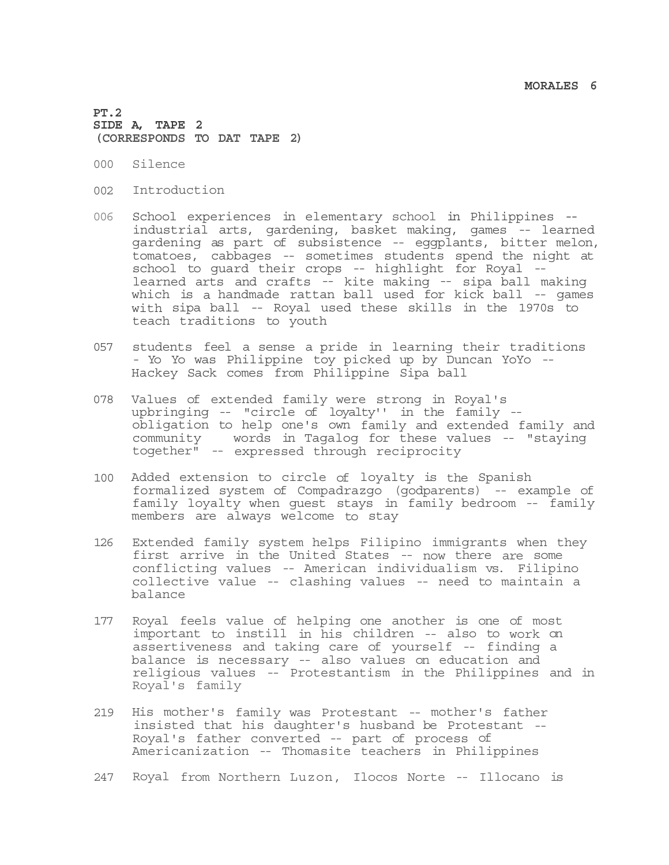**PT.2 SIDE A, TAPE 2 (CORRESPONDS TO DAT TAPE 2)** 

- 000 Silence
- 002 Introduction
- 006 School experiences in elementary school in Philippines industrial arts, gardening, basket making, games -- learned gardening as part of subsistence -- eggplants, bitter melon, tomatoes, cabbages -- sometimes students spend the night at school to guard their crops -- highlight for Royal - learned arts and crafts -- kite making -- sipa ball making which is a handmade rattan ball used for kick ball -- games with sipa ball -- Royal used these skills in the 1970s to teach traditions to youth
- 057 students feel a sense a pride in learning their traditions - Yo Yo was Philippine toy picked up by Duncan YoYo -- Hackey Sack comes from Philippine Sipa ball
- 078 Values of extended family were strong in Royal's upbringing -- "circle of loyalty'' in the family - obligation to help one's own family and extended family and community words in Tagalog for these values -- "staying together" -- expressed through reciprocity
- 100 Added extension to circle of loyalty is the Spanish formalized system of Compadrazgo (godparents) -- example of family loyalty when guest stays in family bedroom -- family members are always welcome to stay
- 126 Extended family system helps Filipino immigrants when they first arrive in the United States -- now there are some conflicting values -- American individualism vs. Filipino collective value -- clashing values -- need to maintain a balance
- 177 Royal feels value of helping one another is one of most important to instill in his children -- also to work on assertiveness and taking care of yourself -- finding a balance is necessary -- also values on education and religious values -- Protestantism in the Philippines and in Royal's family
- 219 His mother's family was Protestant -- mother's father insisted that his daughter's husband be Protestant -- Royal's father converted -- part of process of Americanization -- Thomasite teachers in Philippines
- 247 Royal from Northern Luzon, Ilocos Norte -- Illocano is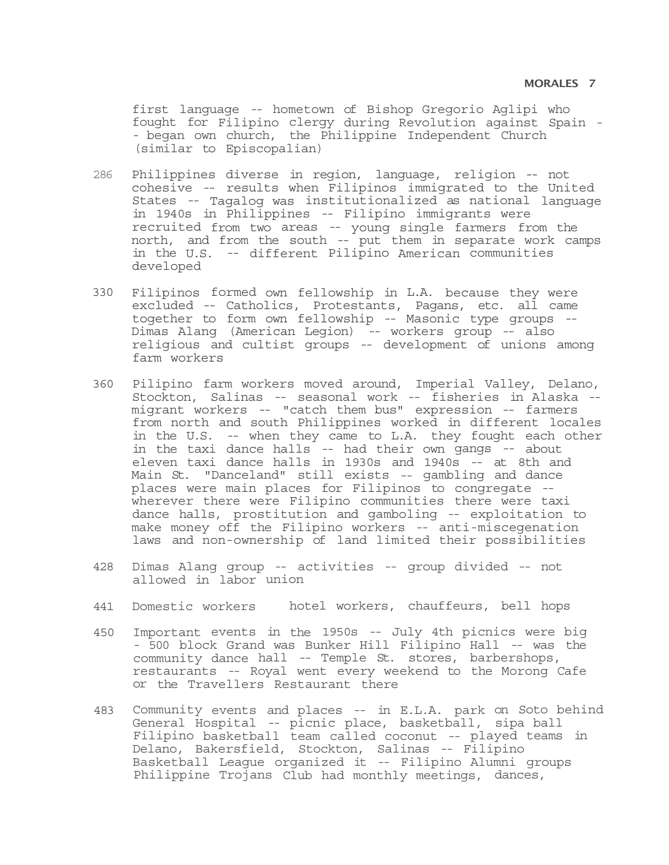first language -- hometown of Bishop Gregorio Aglipi who fought for Filipino clergy during Revolution against Spain - - began own church, the Philippine Independent Church (similar to Episcopalian)

- 286 Philippines diverse in region, language, religion -- not cohesive -- results when Filipinos immigrated to the United States -- Tagalog was institutionalized as national language in 1940s in Philippines -- Filipino immigrants were recruited from two areas -- young single farmers from the north, and from the south -- put them in separate work camps in the U.S. -- different Pilipino American communities developed
- 330 Filipinos formed own fellowship in L.A. because they were excluded -- Catholics, Protestants, Pagans, etc. all came together to form own fellowship -- Masonic type groups -- Dimas Alang (American Legion) -- workers group -- also religious and cultist groups -- development of unions among farm workers
- 360 Pilipino farm workers moved around, Imperial Valley, Delano, Stockton, Salinas -- seasonal work -- fisheries in Alaska - migrant workers -- "catch them bus" expression -- farmers from north and south Philippines worked in different locales in the U.S. -- when they came to L.A. they fought each other in the taxi dance halls -- had their own gangs -- about eleven taxi dance halls in 1930s and 1940s -- at 8th and Main St. "Danceland" still exists -- gambling and dance places were main places for Filipinos to congregate - wherever there were Filipino communities there were taxi dance halls, prostitution and gamboling -- exploitation to make money off the Filipino workers -- anti-miscegenation laws and non-ownership of land limited their possibilities
- 428 Dimas Alang group -- activities -- group divided -- not allowed in labor union
- 441 Domestic workers hotel workers, chauffeurs, bell hops
- 450 Important events in the 1950s -- July 4th picnics were big - 500 block Grand was Bunker Hill Filipino Hall -- was the community dance hall -- Temple St. stores, barbershops, restaurants -- Royal went every weekend to the Morong Cafe or the Travellers Restaurant there
- 483 Community events and places -- in E.L.A. park on Soto behind General Hospital -- picnic place, basketball, sipa ball Filipino basketball team called coconut -- played teams in Delano, Bakersfield, Stockton, Salinas -- Filipino Basketball League organized it -- Filipino Alumni groups Philippine Trojans Club had monthly meetings, dances,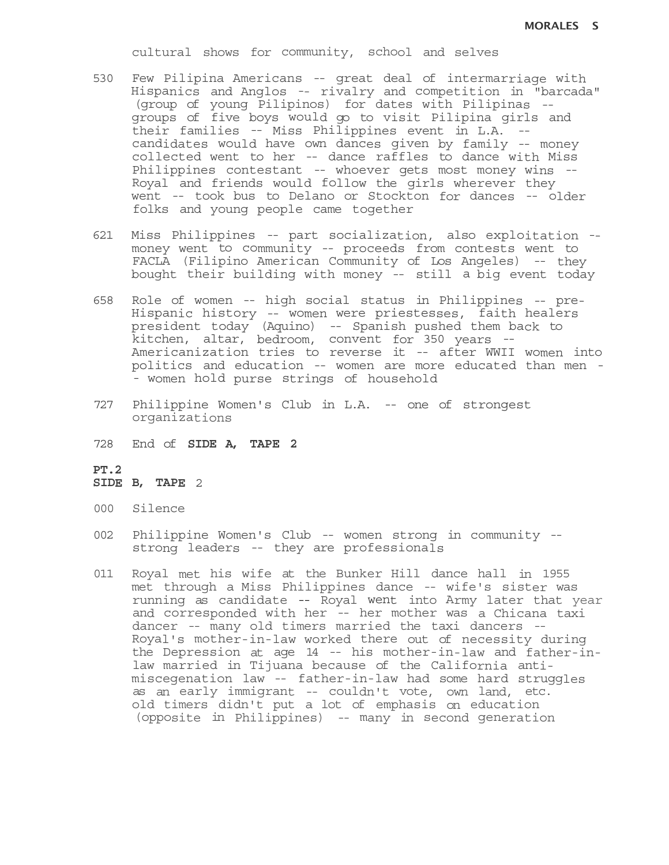cultural shows for community, school and selves

- 530 Few Pilipina Americans -- great deal of intermarriage with Hispanics and Anglos -- rivalry and competition in "barcada" (group of young Pilipinos) for dates with Pilipinas - groups of five boys would go to visit Pilipina girls and their families -- Miss Philippines event in L.A. - candidates would have own dances given by family -- money collected went to her -- dance raffles to dance with Miss Philippines contestant -- whoever gets most money wins -- Royal and friends would follow the girls wherever they went -- took bus to Delano or Stockton for dances -- older folks and young people came together
- 621 Miss Philippines -- part socialization, also exploitation money went to community -- proceeds from contests went to FACLA (Filipino American Community of Los Angeles) -- they bought their building with money -- still a big event today
- 658 Role of women -- high social status in Philippines -- pre-Hispanic history -- women were priestesses, faith healers president today (Aquino) -- Spanish pushed them back to kitchen, altar, bedroom, convent for 350 years -- Americanization tries to reverse it -- after WWII women into politics and education -- women are more educated than men - - women hold purse strings of household
- 727 Philippine Women's Club in L.A. -- one of strongest organizations
- 728 End of **SIDE A, TAPE 2**

#### **PT.2**

## **SIDE B, TAPE** 2

- 000 Silence
- 002 Philippine Women's Club -- women strong in community strong leaders -- they are professionals
- 011 Royal met his wife at the Bunker Hill dance hall in 1955 met through a Miss Philippines dance -- wife's sister was running as candidate -- Royal went into Army later that year and corresponded with her -- her mother was a Chicana taxi dancer -- many old timers married the taxi dancers -- Royal's mother-in-law worked there out of necessity during the Depression at age 14 -- his mother-in-law and father-inlaw married in Tijuana because of the California antimiscegenation law -- father-in-law had some hard struggles as an early immigrant -- couldn't vote, own land, etc. old timers didn't put a lot of emphasis on education (opposite in Philippines) -- many in second generation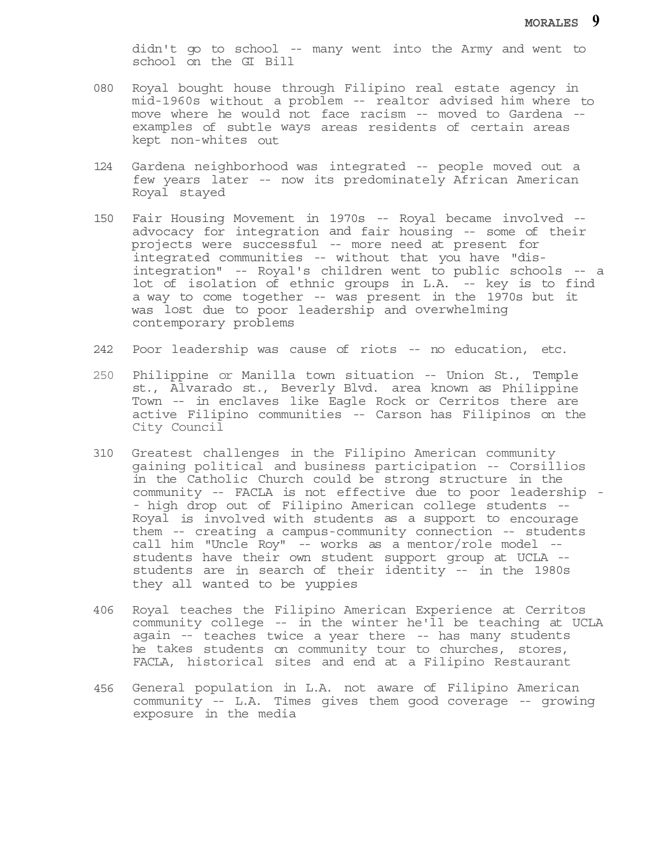didn't go to school -- many went into the Army and went to school on the GI Bill

- 080 Royal bought house through Filipino real estate agency in mid-1960s without a problem -- realtor advised him where to move where he would not face racism -- moved to Gardena - examples of subtle ways areas residents of certain areas kept non-whites out
- 124 Gardena neighborhood was integrated -- people moved out a few years later -- now its predominately African American Royal stayed
- 150 Fair Housing Movement in 1970s -- Royal became involved advocacy for integration and fair housing -- some of their projects were successful -- more need at present for integrated communities -- without that you have "disintegration" -- Royal's children went to public schools -- a lot of isolation of ethnic groups in L.A. -- key is to find a way to come together -- was present in the 1970s but it was lost due to poor leadership and overwhelming contemporary problems
- 242 Poor leadership was cause of riots -- no education, etc.
- 250 Philippine or Manilla town situation -- Union St., Temple st., Alvarado st., Beverly Blvd. area known as Philippine Town -- in enclaves like Eagle Rock or Cerritos there are active Filipino communities -- Carson has Filipinos on the City Council
- 310 Greatest challenges in the Filipino American community gaining political and business participation -- Corsillios in the Catholic Church could be strong structure in the community -- FACLA is not effective due to poor leadership - - high drop out of Filipino American college students -- Royal is involved with students as a support to encourage them -- creating a campus-community connection -- students call him "Uncle Roy" -- works as a mentor/role model - students have their own student support group at UCLA - students are in search of their identity -- in the 1980s they all wanted to be yuppies
- 406 Royal teaches the Filipino American Experience at Cerritos community college -- in the winter he'll be teaching at UCLA again -- teaches twice a year there -- has many students he takes students on community tour to churches, stores, FACLA, historical sites and end at a Filipino Restaurant
- 456 General population in L.A. not aware of Filipino American community -- L.A. Times gives them good coverage -- growing exposure in the media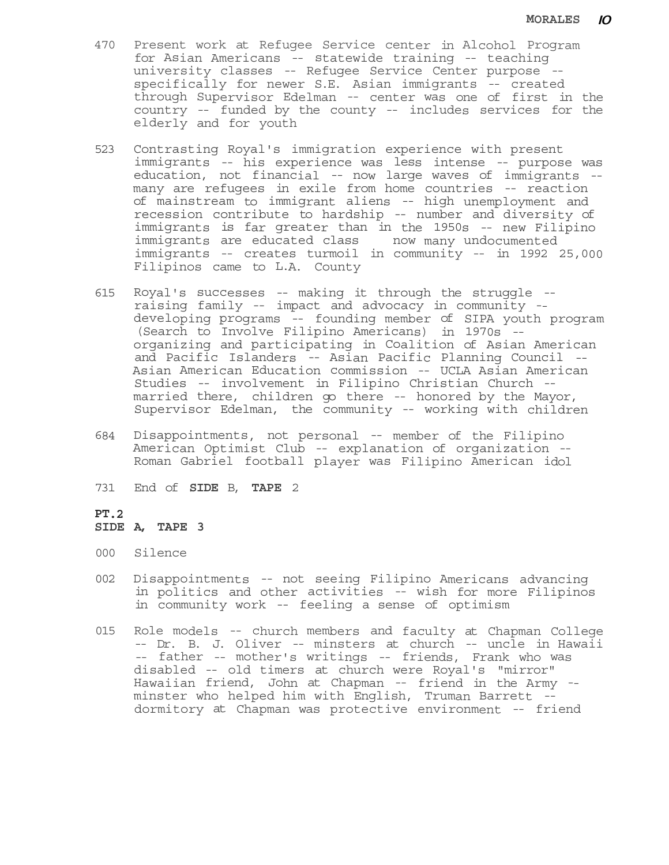- 470 Present work at Refugee Service center in Alcohol Program for Asian Americans -- statewide training -- teaching university classes -- Refugee Service Center purpose - specifically for newer S.E. Asian immigrants -- created through Supervisor Edelman -- center was one of first in the country -- funded by the county -- includes services for the elderly and for youth
- 523 Contrasting Royal's immigration experience with present immigrants -- his experience was less intense -- purpose was education, not financial -- now large waves of immigrants - many are refugees in exile from home countries -- reaction of mainstream to immigrant aliens -- high unemployment and recession contribute to hardship -- number and diversity of immigrants is far greater than in the 1950s -- new Filipino immigrants are educated class now many undocumented immigrants -- creates turmoil in community -- in 1992 25,000 Filipinos came to L.A. County
- 615 Royal's successes -- making it through the struggle raising family -- impact and advocacy in community - developing programs -- founding member of SIPA youth program (Search to Involve Filipino Americans) in 1970s - organizing and participating in Coalition of Asian American and Pacific Islanders -- Asian Pacific Planning Council -- Asian American Education commission -- UCLA Asian American Studies -- involvement in Filipino Christian Church - married there, children go there -- honored by the Mayor, Supervisor Edelman, the community -- working with children
- 684 Disappointments, not personal -- member of the Filipino American Optimist Club -- explanation of organization -- Roman Gabriel football player was Filipino American idol
- 731 End of **SIDE** B, **TAPE** 2

## **PT.2**

- **SIDE A, TAPE 3**
- 000 Silence
- 002 Disappointments -- not seeing Filipino Americans advancing in politics and other activities -- wish for more Filipinos in community work -- feeling a sense of optimism
- 015 Role models -- church members and faculty at Chapman College -- Dr. B. J. Oliver -- minsters at church -- uncle in Hawaii -- father -- mother's writings -- friends, Frank who was disabled -- old timers at church were Royal's "mirror" Hawaiian friend, John at Chapman -- friend in the Army - minster who helped him with English, Truman Barrett - dormitory at Chapman was protective environment -- friend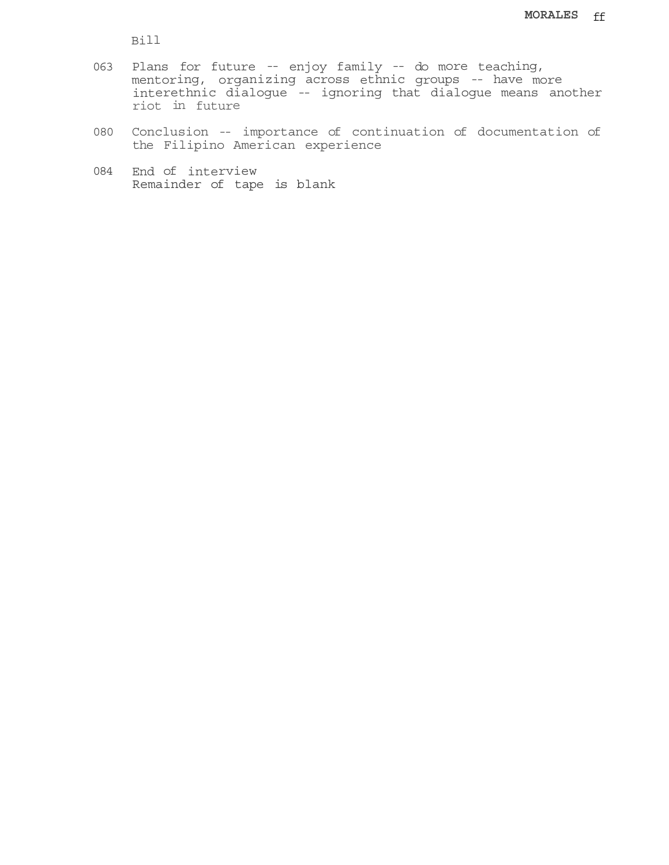Bill

- 063 Plans for future -- enjoy family -- do more teaching, mentoring, organizing across ethnic groups -- have more interethnic dialogue -- ignoring that dialogue means another riot in future
- 080 Conclusion -- importance of continuation of documentation of the Filipino American experience
- 084 End of interview Remainder of tape is blank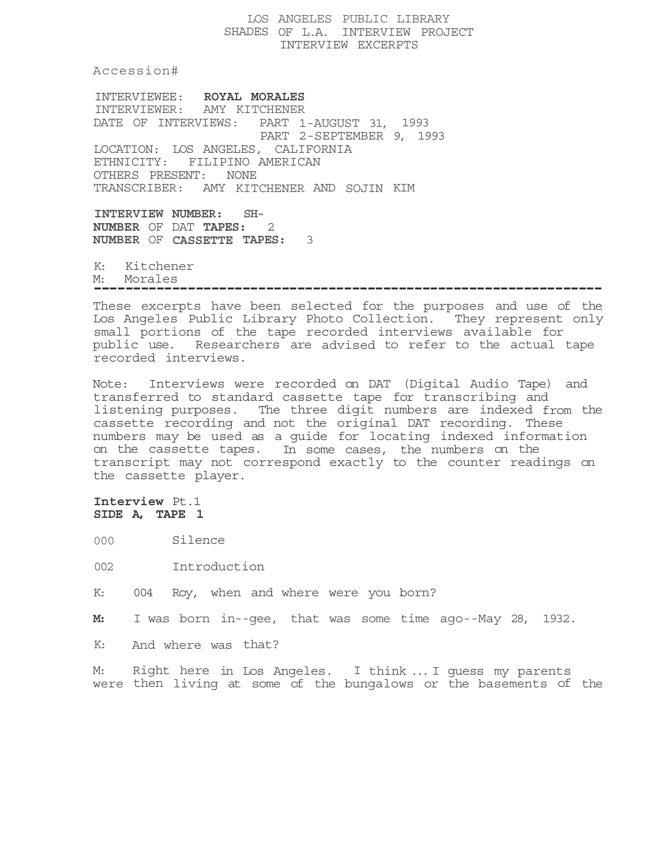LOS ANGELES PUBLIC LIBRARY SHADES OF L.A. INTERVIEW PROJECT INTERVIEW EXCERPTS

Accession#

INTERVIEWEE: **ROYAL MORALES**  INTERVIEWER: AMY KITCHENER DATE OF INTERVIEWS: PART 1-AUGUST 31, 1993 PART 2-SEPTEMBER 9, 1993 LOCATION: LOS ANGELES, CALIFORNIA ETHNICITY: FILIPINO AMERICAN OTHERS PRESENT: NONE TRANSCRIBER: AMY KITCHENER AND SOJIN KIM

**INTERVIEW NUMBER: SH-NUMBER** OF DAT **TAPES:** 2 **NUMBER** OF **CASSETTE TAPES:** 3

K: Kitchener M: Morales

-----------------------------------------------------------------

These excerpts have been selected for the purposes and use of the Los Angeles Public Library Photo Collection. They represent only small portions of the tape recorded interviews available for public use. Researchers are advised to refer to the actual tape recorded interviews.

Note: Interviews were recorded on DAT (Digital Audio Tape) and transferred to standard cassette tape for transcribing and listening purposes. The three digit numbers are indexed from the cassette recording and not the original DAT recording. These numbers may be used as a guide for locating indexed information on the cassette tapes. In some cases, the numbers on the transcript may not correspond exactly to the counter readings on the cassette player.

**Interview** Pt.1 **SIDE A, TAPE 1** 

000 Silence

002 Introduction

K: 004 Roy, when and where were you born?

**M:** I was born in--gee, that was some time ago--May 28, 1932.

K: And where was that?

M: Right here in Los Angeles. I think ... I guess my parents were then living at some of the bungalows or the basements of the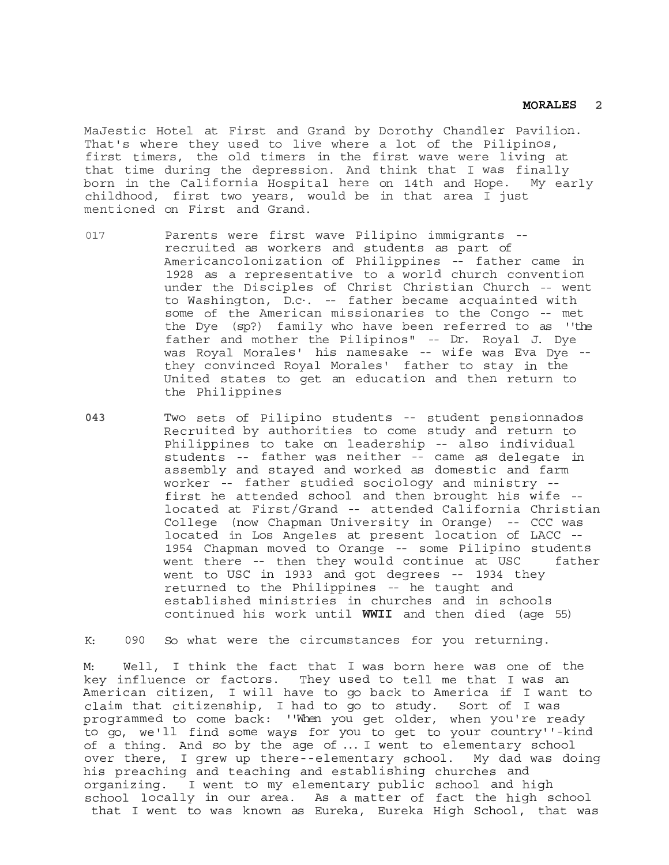MaJestic Hotel at First and Grand by Dorothy Chandler Pavilion. That's where they used to live where a lot of the Pilipinos, first timers, the old timers in the first wave were living at that time during the depression. And think that I was finally born in the California Hospital here on 14th and Hope. My early childhood, first two years, would be in that area I just mentioned on First and Grand.

- 017 Parents were first wave Pilipino immigrants -recruited as workers and students as part of Americancolonization of Philippines -- father came in 1928 as a representative to a world church convention under the Disciples of Christ Christian Church -- went to Washington, D.c·. -- father became acquainted with some of the American missionaries to the Congo -- met the Dye (sp?) family who have been referred to as ''the father and mother the Pilipinos" -- Dr. Royal J. Dye was Royal Morales' his namesake -- wife was Eva Dye - they convinced Royal Morales' father to stay in the United states to get an education and then return to the Philippines
- **043** Two sets of Pilipino students -- student pensionnados Recruited by authorities to come study and return to Philippines to take on leadership -- also individual students -- father was neither -- came as delegate in assembly and stayed and worked as domestic and farm worker -- father studied sociology and ministry - first he attended school and then brought his wife - located at First/Grand -- attended California Christian College (now Chapman University in Orange) -- CCC was located in Los Angeles at present location of LACC -- 1954 Chapman moved to Orange -- some Pilipino students went there -- then they would continue at USC father went to USC in 1933 and got degrees -- 1934 they returned to the Philippines -- he taught and established ministries in churches and in schools continued his work until **WWII** and then died (age 55)

K: 090 So what were the circumstances for you returning.

M: Well, I think the fact that I was born here was one of the key influence or factors. They used to tell me that I was an American citizen, I will have to go back to America if I want to claim that citizenship, I had to go to study. Sort of I was programmed to come back: ''When you get older, when you're ready to go, we'll find some ways for you to get to your country''-kind of a thing. And so by the age of ... I went to elementary school over there, I grew up there--elementary school. My dad was doing his preaching and teaching and establishing churches and organizing. I went to my elementary public school and high school locally in our area. As a matter of fact the high school that I went to was known as Eureka, Eureka High School, that was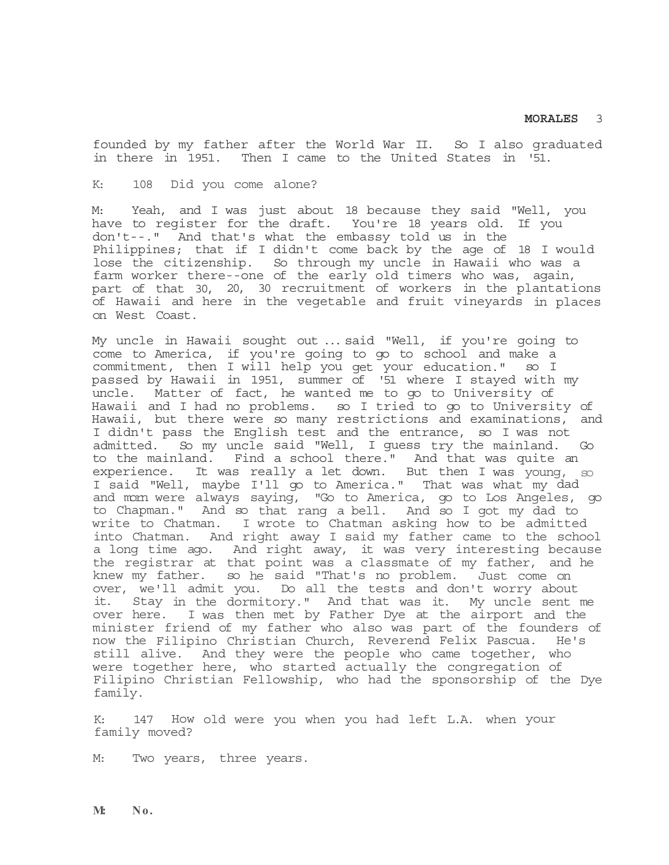founded by my father after the World War II. So I also graduated in there in 1951. Then I came to the United States in '51.

K: 108 Did you come alone?

M: Yeah, and I was just about 18 because they said "Well, you have to register for the draft. You're 18 years old. If you don't--." And that's what the embassy told us in the Philippines; that if I didn't come back by the age of 18 I would lose the citizenship. So through my uncle in Hawaii who was a farm worker there--one of the early old timers who was, again, part of that 30, 20, 30 recruitment of workers in the plantations of Hawaii and here in the vegetable and fruit vineyards in places on West Coast.

My uncle in Hawaii sought out ... said "Well, if you're going to come to America, if you're going to go to school and make a commitment, then I will help you get your education." so I passed by Hawaii in 1951, summer of '51 where I stayed with my uncle. Matter of fact, he wanted me to go to University of Hawaii and I had no problems. so I tried to go to University of Hawaii, but there were so many restrictions and examinations, and I didn't pass the English test and the entrance, so I was not admitted. So my uncle said "Well, I guess try the mainland. Go to the mainland. Find a school there." And that was quite an experience. It was really a let down. But then I was young, so I said "Well, maybe I'll go to America." That was what my dad and morn were always saying, "Go to America, go to Los Angeles, go to Chapman." And so that rang a bell. And so I got my dad to write to Chatman. I wrote to Chatman asking how to be admitted into Chatman. And right away I said my father came to the school a long time ago. And right away, it was very interesting because the registrar at that point was a classmate of my father, and he knew my father. so he said "That's no problem. Just come on over, we'll admit you. Do all the tests and don't worry about it. Stay in the dormitory." And that was it. My uncle sent me over here. I was then met by Father Dye at the airport and the minister friend of my father who also was part of the founders of now the Filipino Christian Church, Reverend Felix Pascua. He's still alive. And they were the people who came together, who were together here, who started actually the congregation of Filipino Christian Fellowship, who had the sponsorship of the Dye family.

K: 147 How old were you when you had left L.A. when your family moved?

M: Two years, three years.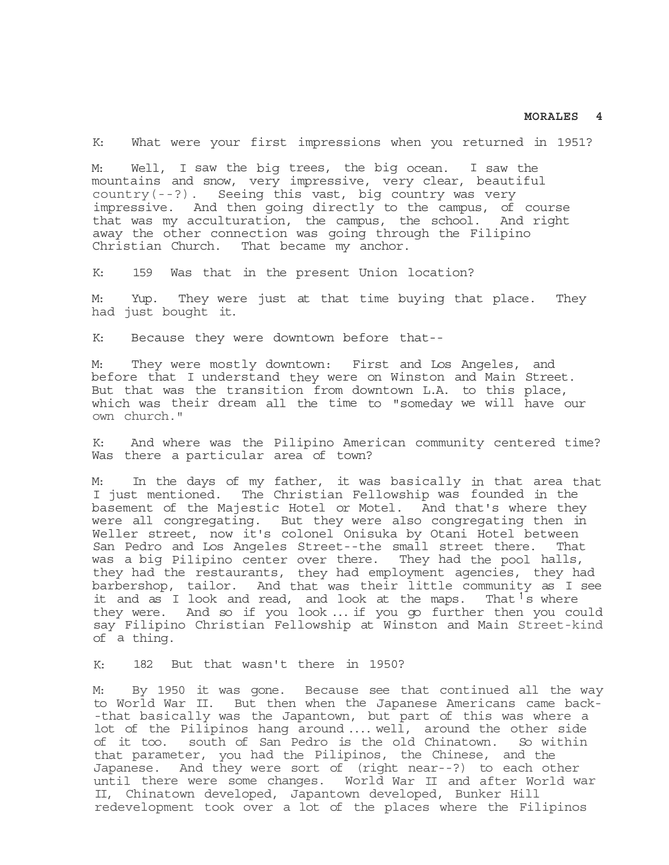K: What were your first impressions when you returned in 1951?

M: Well, I saw the big trees, the big ocean. I saw the mountains and snow, very impressive, very clear, beautiful country(--?). Seeing this vast, big country was very impressive. And then going directly to the campus, of course that was my acculturation, the campus, the school. And right away the other connection was going through the Filipino That became my anchor.

K: 159 Was that in the present Union location?

M: Yup. They were just at that time buying that place. They had just bought it.

K: Because they were downtown before that--

M: They were mostly downtown: First and Los Angeles, and before that I understand they were on Winston and Main Street. But that was the transition from downtown L.A. to this place, which was their dream all the time to "someday we will have our own church."

K: And where was the Pilipino American community centered time? Was there a particular area of town?

M: In the days of my father, it was basically in that area that I just mentioned. The Christian Fellowship was founded in the basement of the Majestic Hotel or Motel. And that's where they were all congregating. But they were also congregating then in Weller street, now it's colonel Onisuka by Otani Hotel between San Pedro and Los Angeles Street--the small street there. That was a big Pilipino center over there. They had the pool halls, they had the restaurants, they had employment agencies, they had barbershop, tailor. And that was their little community as I see it and as I look and read, and look at the maps. That <sup>1</sup>s where they were. And so if you look ... if you go further then you could say Filipino Christian Fellowship at Winston and Main Street-kind of a thing.

K: 182 But that wasn't there in 1950?

M: By 1950 it was gone. Because see that continued all the way to World War II. But then when the Japanese Americans came back- -that basically was the Japantown, but part of this was where a lot of the Pilipinos hang around .... well, around the other side of it too. south of San Pedro is the old Chinatown. So within that parameter, you had the Pilipinos, the Chinese, and the Japanese. And they were sort of (right near--?) to each other until there were some changes. World War II and after World war II, Chinatown developed, Japantown developed, Bunker Hill redevelopment took over a lot of the places where the Filipinos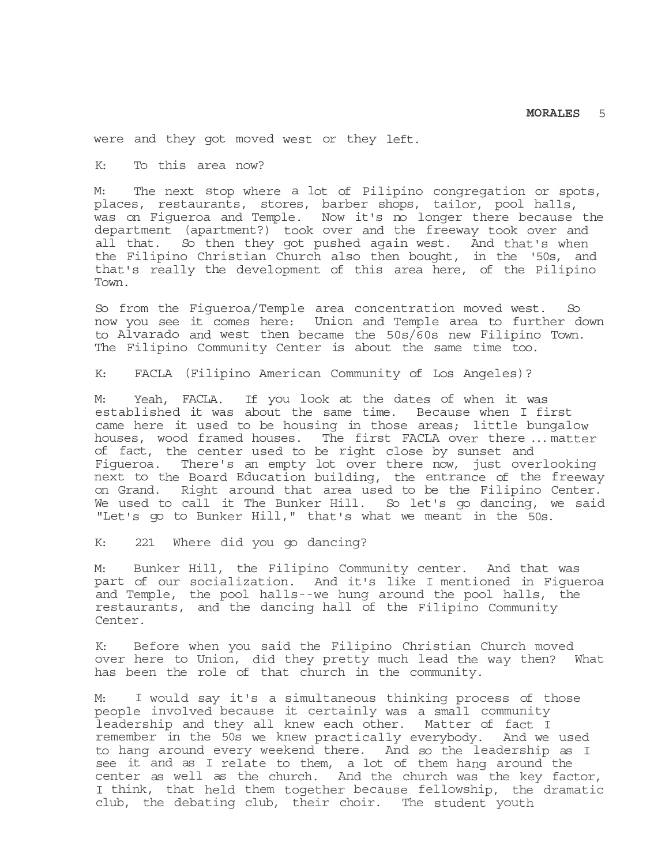were and they got moved west or they left.

K: To this area now?

M: The next stop where a lot of Pilipino congregation or spots, places, restaurants, stores, barber shops, tailor, pool halls, was on Figueroa and Temple. Now it's no longer there because the department (apartment?) took over and the freeway took over and all that. So then they got pushed again west. And that's when the Filipino Christian Church also then bought, in the '50s, and that's really the development of this area here, of the Pilipino Town.

So from the Figueroa/Temple area concentration moved west. So now you see it comes here: Union and Temple area to further down to Alvarado and west then became the 50s/60s new Filipino Town. The Filipino Community Center is about the same time too.

K: FACLA (Filipino American Community of Los Angeles)?

M: Yeah, FACLA. If you look at the dates of when it was established it was about the same time. Because when I first came here it used to be housing in those areas; little bungalow houses, wood framed houses. The first FACLA over there ... matter of fact, the center used to be right close by sunset and Figueroa. There's an empty lot over there now, just overlooking next to the Board Education building, the entrance of the freeway on Grand. Right around that area used to be the Filipino Center. We used to call it The Bunker Hill. So let's go dancing, we said "Let's go to Bunker Hill," that's what we meant in the 50s.

K: 221 Where did you go dancing?

M: Bunker Hill, the Filipino Community center. And that was part of our socialization. And it's like I mentioned in Figueroa and Temple, the pool halls--we hung around the pool halls, the restaurants, and the dancing hall of the Filipino Community Center.

K: Before when you said the Filipino Christian Church moved over here to Union, did they pretty much lead the way then? What has been the role of that church in the community.

M: I would say it's a simultaneous thinking process of those people involved because it certainly was a small community leadership and they all knew each other. Matter of fact I remember in the 50s we knew practically everybody. And we used to hang around every weekend there. And so the leadership as I see it and as I relate to them, a lot of them hang around the center as well as the church. And the church was the key factor, I think, that held them together because fellowship, the dramatic club, the debating club, their choir. The student youth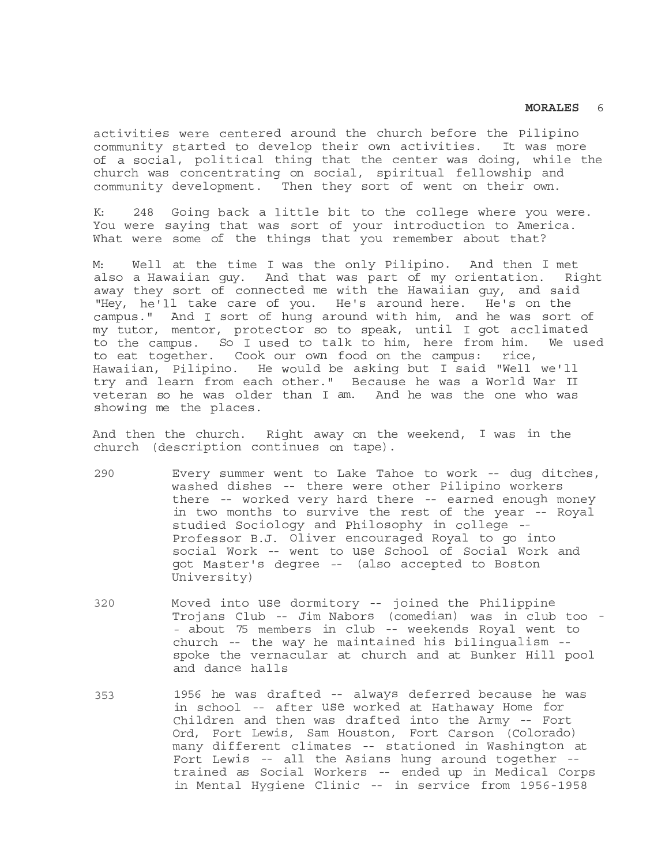activities were centered around the church before the Pilipino community started to develop their own activities. It was more of a social, political thing that the center was doing, while the church was concentrating on social, spiritual fellowship and community development. Then they sort of went on their own.

K: 248 Going back a little bit to the college where you were. You were saying that was sort of your introduction to America. What were some of the things that you remember about that?

M: Well at the time I was the only Pilipino. And then I met also a Hawaiian guy. And that was part of my orientation. Right away they sort of connected me with the Hawaiian guy, and said "Hey, he'll take care of you. He's around here. He's on the campus." And I sort of hung around with him, and he was sort of my tutor, mentor, protector so to speak, until I got acclimated to the campus. So I used to talk to him, here from him. We used to eat together. Cook our own food on the campus: rice, Hawaiian, Pilipino. He would be asking but I said "Well we'll try and learn from each other." Because he was a World War II veteran so he was older than I am. And he was the one who was showing me the places.

And then the church. Right away on the weekend, I was in the church (description continues on tape).

- 290 Every summer went to Lake Tahoe to work -- dug ditches, washed dishes -- there were other Pilipino workers there -- worked very hard there -- earned enough money in two months to survive the rest of the year -- Royal studied Sociology and Philosophy in college -- Professor B.J. Oliver encouraged Royal to go into social Work -- went to use School of Social Work and got Master's degree -- (also accepted to Boston University)
- 320 Moved into use dormitory -- joined the Philippine Trojans Club -- Jim Nabors (comedian) was in club too - - about 75 members in club -- weekends Royal went to church -- the way he maintained his bilingualism - spoke the vernacular at church and at Bunker Hill pool and dance halls
- 353 1956 he was drafted -- always deferred because he was in school -- after use worked at Hathaway Home for Children and then was drafted into the Army -- Fort Ord, Fort Lewis, Sam Houston, Fort Carson (Colorado) many different climates -- stationed in Washington at Fort Lewis -- all the Asians hung around together - trained as Social Workers -- ended up in Medical Corps in Mental Hygiene Clinic -- in service from 1956-1958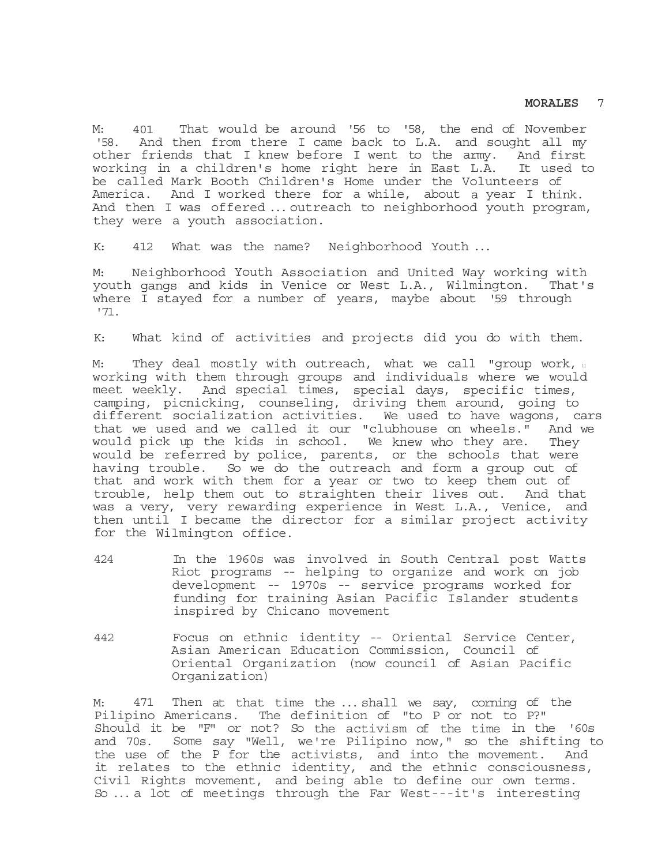M: 401 That would be around '56 to '58, the end of November '58. And then from there I came back to L.A. and sought all my other friends that I knew before I went to the army. And first working in a children's home right here in East L.A. It used to be called Mark Booth Children's Home under the Volunteers of America. And I worked there for a while, about a year I think. And then I was offered ... outreach to neighborhood youth program, they were a youth association.

K: 412 What was the name? Neighborhood Youth ...

M: Neighborhood Youth Association and United Way working with youth gangs and kids in Venice or West L.A., Wilmington. That's where I stayed for a number of years, maybe about '59 through '71.

K: What kind of activities and projects did you do with them.

M: They deal mostly with outreach, what we call "group work, n working with them through groups and individuals where we would meet weekly. And special times, special days, specific times, camping, picnicking, counseling, driving them around, going to different socialization activities. We used to have wagons, cars that we used and we called it our "clubhouse on wheels." And we would pick up the kids in school. We knew who they are. They would be referred by police, parents, or the schools that were having trouble. So we do the outreach and form a group out of that and work with them for a year or two to keep them out of trouble, help them out to straighten their lives out. And that was a very, very rewarding experience in West L.A., Venice, and then until I became the director for a similar project activity for the Wilmington office.

- 424 In the 1960s was involved in South Central post Watts Riot programs -- helping to organize and work on job development -- 1970s -- service programs worked for funding for training Asian Pacific Islander students inspired by Chicano movement
- 442 Focus on ethnic identity -- Oriental Service Center, Asian American Education Commission, Council of Oriental Organization (now council of Asian Pacific Organization)

M: 471 Then at that time the ... shall we say, corning of the Pilipino Americans. The definition of "to P or not to P?" Should it be "F" or not? So the activism of the time in the '60s and 70s. Some say "Well, we're Pilipino now," so the shifting to the use of the P for the activists, and into the movement. And it relates to the ethnic identity, and the ethnic consciousness, Civil Rights movement, and being able to define our own terms. So ... a lot of meetings through the Far West---it's interesting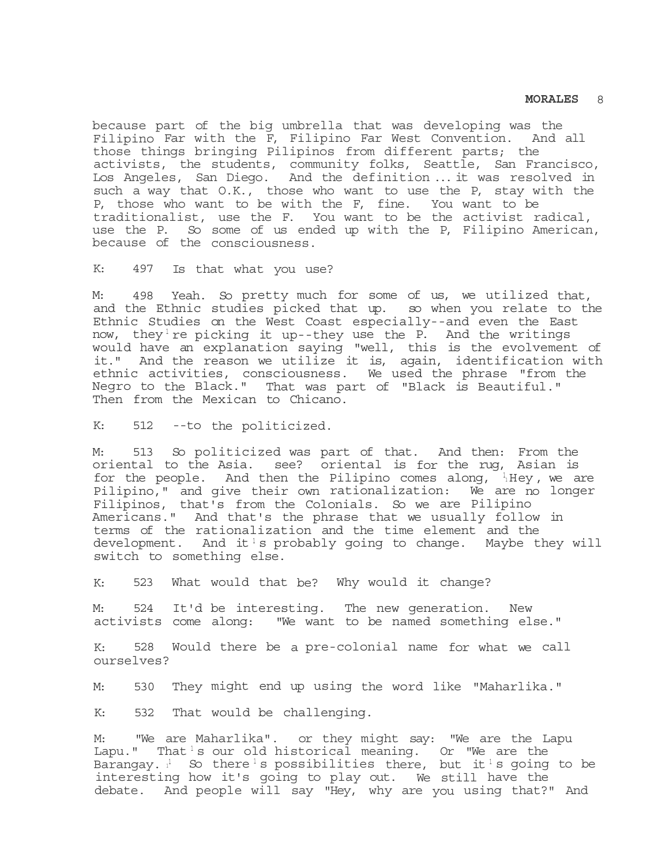because part of the big umbrella that was developing was the Filipino Far with the F, Filipino Far West Convention. And all those things bringing Pilipinos from different parts; the activists, the students, community folks, Seattle, San Francisco, Los Angeles, San Diego. And the definition ... it was resolved in such a way that O.K., those who want to use the P, stay with the P, those who want to be with the F, fine. You want to be traditionalist, use the F. You want to be the activist radical, use the P. So some of us ended up with the P, Filipino American, because of the consciousness.

K: 497 Is that what you use?

M: 498 Yeah. So pretty much for some of us, we utilized that, and the Ethnic studies picked that up. so when you relate to the Ethnic Studies on the West Coast especially--and even the East now, they  $1$  re picking it up--they use the P. And the writings would have an explanation saying "well, this is the evolvement of it." And the reason we utilize it is, again, identification with ethnic activities, consciousness. We used the phrase "from the Negro to the Black." That was part of "Black is Beautiful." Then from the Mexican to Chicano.

K: 512 --to the politicized.

M: 513 So politicized was part of that. And then: From the oriental to the Asia. see? oriental is for the rug, Asian is for the people. And then the Pilipino comes along,  $1$ Hey, we are Pilipino," and give their own rationalization: We are no longer Filipinos, that's from the Colonials. So we are Pilipino Americans." And that's the phrase that we usually follow in terms of the rationalization and the time element and the development. And it is probably going to change. Maybe they will switch to something else.

K: 523 What would that be? Why would it change?

M: 524 It'd be interesting. The new generation. New activists come along: "We want to be named something else."

K: 528 Would there be a pre-colonial name for what we call ourselves?

M: 530 They might end up using the word like "Maharlika."

K: 532 That would be challenging.

M: "We are Maharlika". or they might say: "We are the Lapu Lapu." That <sup>1</sup> s our old historical meaning. Or "We are the Barangay.  $1$  So there s possibilities there, but it s going to be interesting how it's going to play out. We still have the debate. And people will say "Hey, why are you using that?" And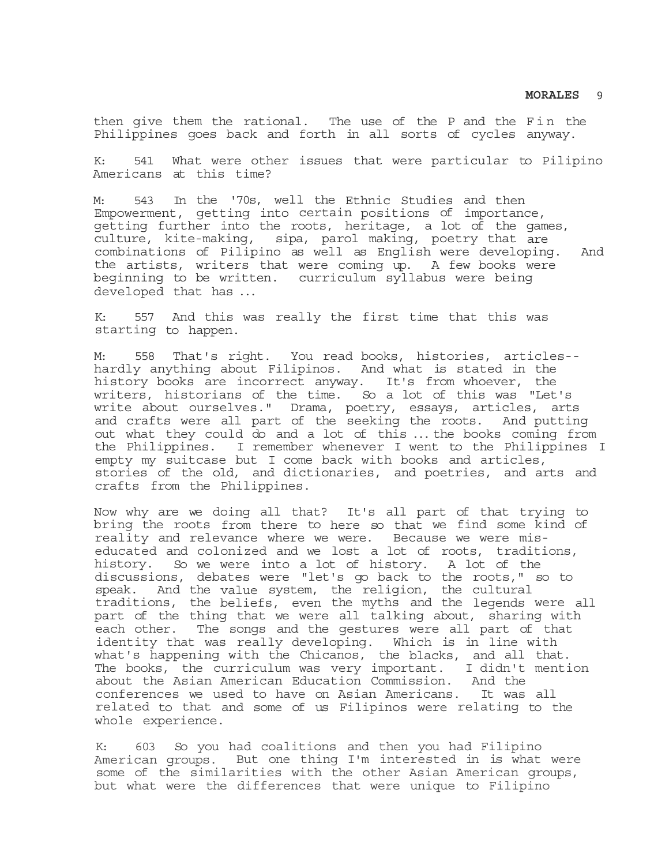then give them the rational. The use of the P and the Fin the Philippines goes back and forth in all sorts of cycles anyway.

K: 541 What were other issues that were particular to Pilipino Americans at this time?

M: 543 In the '70s, well the Ethnic Studies and then Empowerment, getting into certain positions of importance, getting further into the roots, heritage, a lot of the games, culture, kite-making, sipa, parol making, poetry that are combinations of Pilipino as well as English were developing. And the artists, writers that were coming up. A few books were beginning to be written. curriculum syllabus were being developed that has ...

K: 557 And this was really the first time that this was starting to happen.

M: 558 That's right. You read books, histories, articles- hardly anything about Filipinos. And what is stated in the history books are incorrect anyway. It's from whoever, the writers, historians of the time. So a lot of this was "Let's write about ourselves." Drama, poetry, essays, articles, arts and crafts were all part of the seeking the roots. And putting out what they could do and a lot of this ... the books coming from the Philippines. I remember whenever I went to the Philippines I empty my suitcase but I come back with books and articles, stories of the old, and dictionaries, and poetries, and arts and crafts from the Philippines.

Now why are we doing all that? It's all part of that trying to bring the roots from there to here so that we find some kind of reality and relevance where we were. Because we were miseducated and colonized and we lost a lot of roots, traditions,<br>history. So we were into a lot of history. A lot of the history. So we were into a lot of history. discussions, debates were "let's go back to the roots," so to speak. And the value system, the religion, the cultural traditions, the beliefs, even the myths and the legends were all part of the thing that we were all talking about, sharing with each other. The songs and the gestures were all part of that identity that was really developing. Which is in line with what's happening with the Chicanos, the blacks, and all that. The books, the curriculum was very important. I didn't mention about the Asian American Education Commission. And the conferences we used to have on Asian Americans. It was all related to that and some of us Filipinos were relating to the whole experience.

K: 603 So you had coalitions and then you had Filipino American groups. But one thing I'm interested in is what were some of the similarities with the other Asian American groups, but what were the differences that were unique to Filipino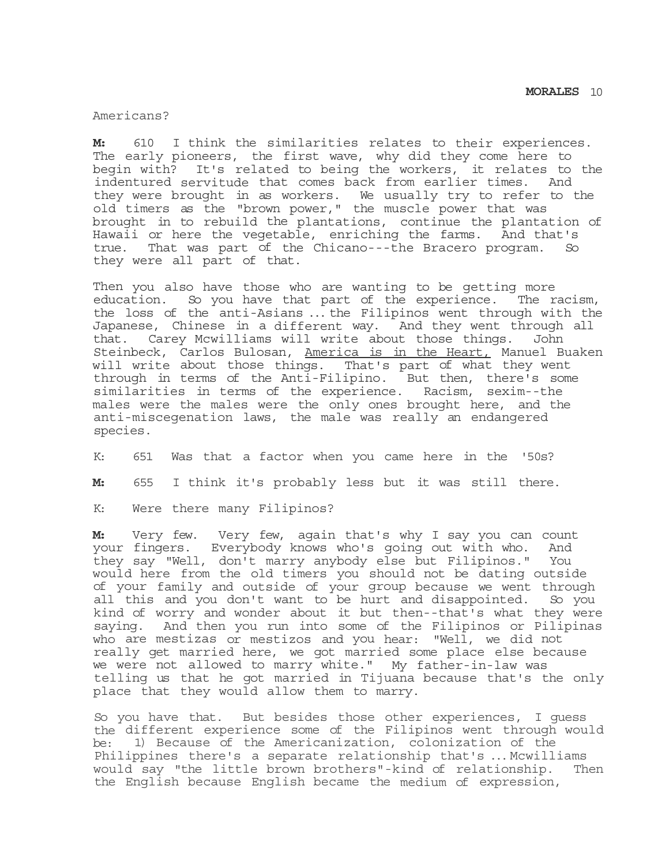Americans?

**M:** 610 I think the similarities relates to their experiences. The early pioneers, the first wave, why did they come here to begin with? It's related to being the workers, it relates to the indentured servitude that comes back from earlier times. And they were brought in as workers. We usually try to refer to the old timers as the "brown power," the muscle power that was brought in to rebuild the plantations, continue the plantation of Hawaii or here the vegetable, enriching the farms. And that's true. That was part of the Chicano---the Bracero program. So they were all part of that.

Then you also have those who are wanting to be getting more education. So you have that part of the experience. The racism, the loss of the anti-Asians ... the Filipinos went through with the Japanese, Chinese in a different way. And they went through all that. Carey Mcwilliams will write about those things. John Steinbeck, Carlos Bulosan, America is in the Heart, Manuel Buaken will write about those things. That's part of what they went through in terms of the Anti-Filipino. But then, there's some similarities in terms of the experience. Racism, sexim--the males were the males were the only ones brought here, and the anti-miscegenation laws, the male was really an endangered species.

K: 651 Was that a factor when you came here in the '50s?

**M:** 655 I think it's probably less but it was still there.

K: Were there many Filipinos?

**M:** Very few. Very few, again that's why I say you can count your fingers. Everybody knows who's going out with who. And they say "Well, don't marry anybody else but Filipinos." You would here from the old timers you should not be dating outside of your family and outside of your group because we went through all this and you don't want to be hurt and disappointed. So you kind of worry and wonder about it but then--that's what they were saying. And then you run into some of the Filipinos or Pilipinas who are mestizas or mestizos and you hear: "Well, we did not really get married here, we got married some place else because we were not allowed to marry white." My father-in-law was telling us that he got married in Tijuana because that's the only place that they would allow them to marry.

So you have that. But besides those other experiences, I guess the different experience some of the Filipinos went through would be: 1) Because of the Americanization, colonization of the Philippines there's a separate relationship that's ... Mcwilliams would say "the little brown brothers"-kind of relationship. Then the English because English became the medium of expression,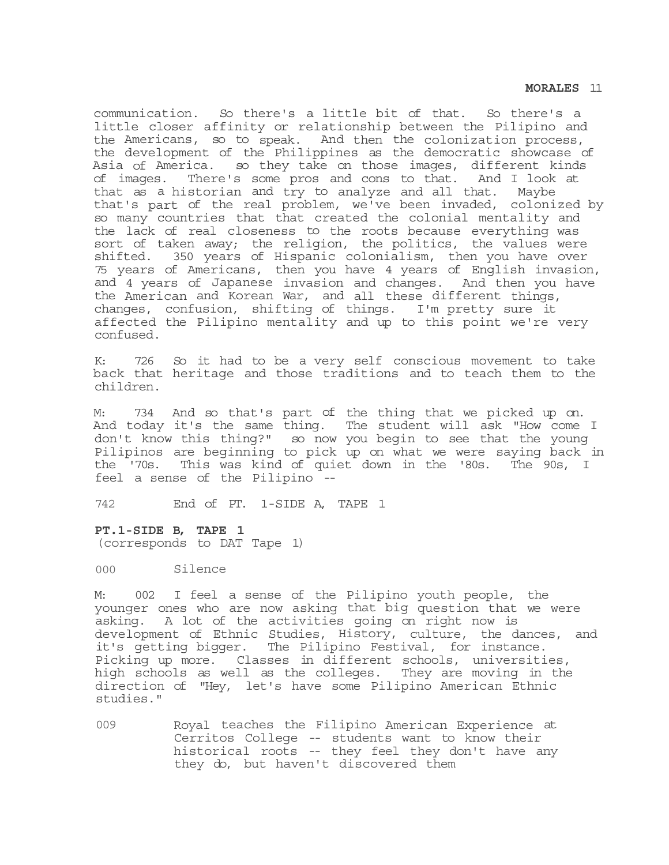communication. So there's a little bit of that. So there's a little closer affinity or relationship between the Pilipino and the Americans, so to speak. And then the colonization process, the development of the Philippines as the democratic showcase of Asia of America. so they take on those images, different kinds of images. There's some pros and cons to that. And I look at that as a historian and try to analyze and all that. Maybe that's part of the real problem, we've been invaded, colonized by so many countries that that created the colonial mentality and the lack of real closeness to the roots because everything was sort of taken away; the religion, the politics, the values were shifted. 350 years of Hispanic colonialism, then you have over 75 years of Americans, then you have 4 years of English invasion, and 4 years of Japanese invasion and changes. And then you have the American and Korean War, and all these different things, changes, confusion, shifting of things. I'm pretty sure it affected the Pilipino mentality and up to this point we're very confused.

K: 726 So it had to be a very self conscious movement to take back that heritage and those traditions and to teach them to the children.

M: 734 And so that's part of the thing that we picked up on. And today it's the same thing. The student will ask "How come I don't know this thing?" so now you begin to see that the young Pilipinos are beginning to pick up on what we were saying back in the '70s. This was kind of quiet down in the '80s. The 90s, I feel a sense of the Pilipino --

742 End of PT. 1-SIDE A, TAPE 1

#### **PT.1-SIDE B, TAPE 1**

(corresponds to DAT Tape 1)

000 Silence

M: 002 I feel a sense of the Pilipino youth people, the younger ones who are now asking that big question that we were asking. A lot of the activities going on right now is development of Ethnic Studies, History, culture, the dances, and it's getting bigger. The Pilipino Festival, for instance. Picking up more. Classes in different schools, universities, high schools as well as the colleges. They are moving in the direction of "Hey, let's have some Pilipino American Ethnic studies."

009 Royal teaches the Filipino American Experience at Cerritos College -- students want to know their historical roots -- they feel they don't have any they do, but haven't discovered them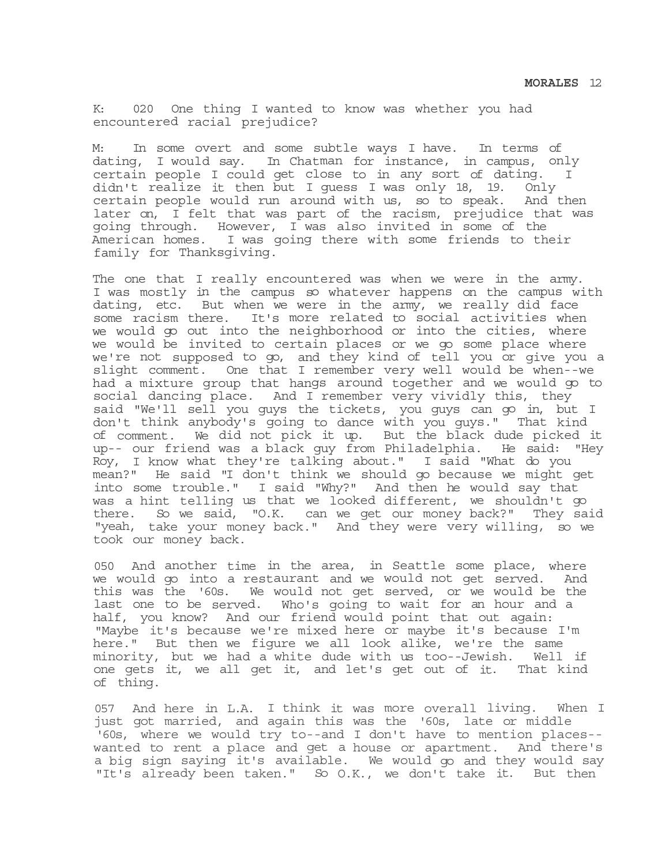K: 020 One thing I wanted to know was whether you had encountered racial prejudice?

M: In some overt and some subtle ways I have. In terms of dating, I would say. In Chatman for instance, in campus, only certain people I could get close to in any sort of dating. I didn't realize it then but I guess I was only 18, 19. Only certain people would run around with us, so to speak. And then later on, I felt that was part of the racism, prejudice that was going through. However, I was also invited in some of the American homes. I was going there with some friends to their family for Thanksgiving.

The one that I really encountered was when we were in the army. I was mostly in the campus so whatever happens on the campus with dating, etc. But when we were in the army, we really did face some racism there. It's more related to social activities when we would go out into the neighborhood or into the cities, where we would be invited to certain places or we go some place where we're not supposed to go, and they kind of tell you or give you a slight comment. One that I remember very well would be when--we had a mixture group that hangs around together and we would go to social dancing place. And I remember very vividly this, they said "We'll sell you guys the tickets, you guys can go in, but I don't think anybody's going to dance with you guys." That kind of comment. We did not pick it up. But the black dude picked it up-- our friend was a black guy from Philadelphia. He said: "Hey Roy, I know what they're talking about." I said "What do you mean?" He said "I don't think we should go because we might get into some trouble." I said "Why?" And then he would say that was a hint telling us that we looked different, we shouldn't go there. So we said, "O.K. can we get our money back?" They said "yeah, take your money back." And they were very willing, so we took our money back.

050 And another time in the area, in Seattle some place, where we would go into a restaurant and we would not get served. And this was the '60s. We would not get served, or we would be the last one to be served. Who's going to wait for an hour and a half, you know? And our friend would point that out again: "Maybe it's because we're mixed here or maybe it's because I'm here." But then we figure we all look alike, we're the same minority, but we had a white dude with us too--Jewish. Well if one gets it, we all get it, and let's get out of it. That kind of thing.

057 And here in L.A. I think it was more overall living. When I just got married, and again this was the '60s, late or middle '60s, where we would try to--and I don't have to mention places- wanted to rent a place and get a house or apartment. And there's a big sign saying it's available. We would go and they would say "It's already been taken." So O.K., we don't take it. But then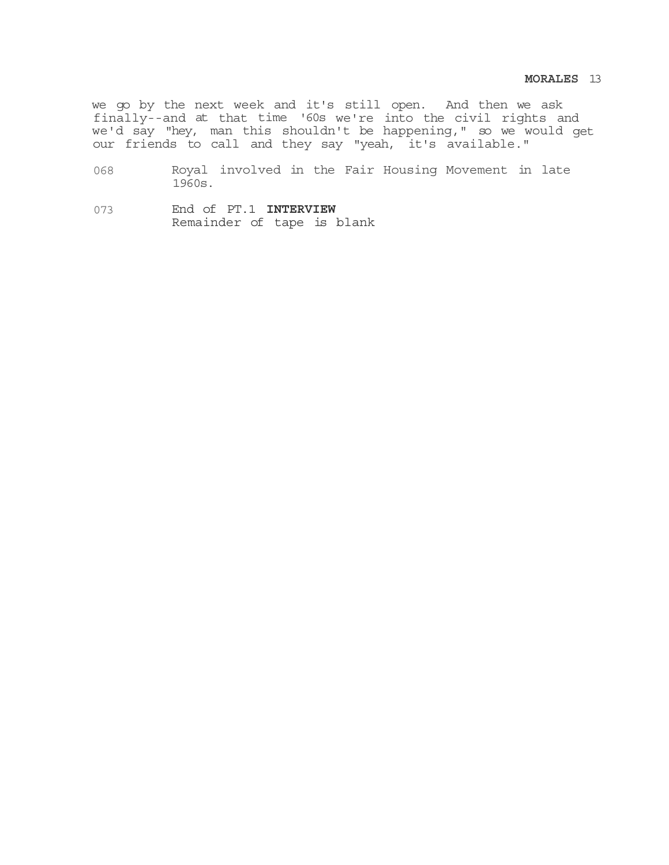we go by the next week and it's still open. And then we ask finally--and at that time '60s we're into the civil rights and we'd say "hey, man this shouldn't be happening," so we would get our friends to call and they say "yeah, it's available."

- 068 Royal involved in the Fair Housing Movement in late 1960s.
- 073 End of PT.1 **INTERVIEW**  Remainder of tape is blank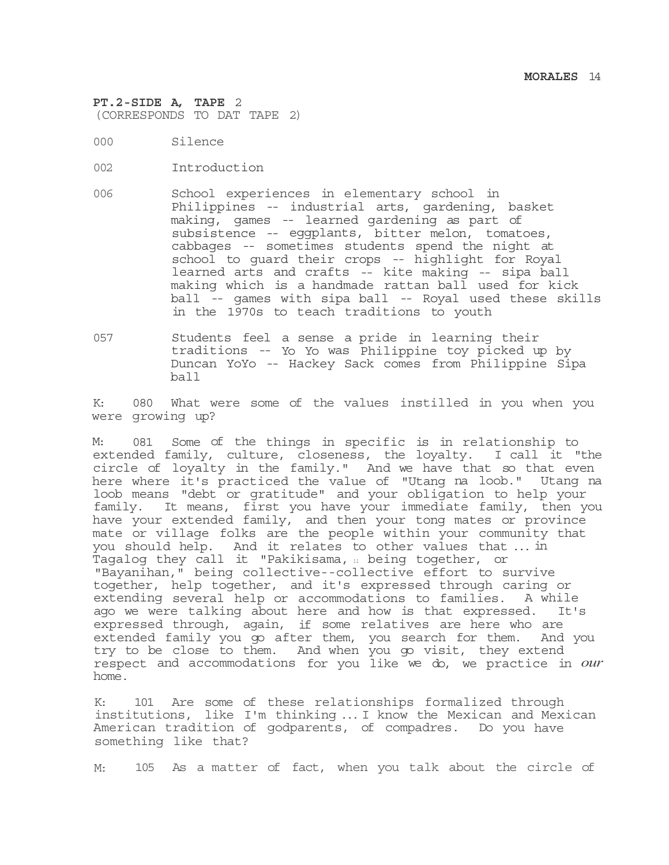# **PT.2-SIDE A, TAPE** 2 (CORRESPONDS TO DAT TAPE 2)

- 000 Silence
- 002 Introduction
- 006 School experiences in elementary school in Philippines -- industrial arts, gardening, basket making, games -- learned gardening as part of subsistence -- eggplants, bitter melon, tomatoes, cabbages -- sometimes students spend the night at school to guard their crops -- highlight for Royal learned arts and crafts -- kite making -- sipa ball making which is a handmade rattan ball used for kick ball -- games with sipa ball -- Royal used these skills in the 1970s to teach traditions to youth
- 057 Students feel a sense a pride in learning their traditions -- Yo Yo was Philippine toy picked up by Duncan YoYo -- Hackey Sack comes from Philippine Sipa ball

K: 080 What were some of the values instilled in you when you were growing up?

M: 081 Some of the things in specific is in relationship to extended family, culture, closeness, the loyalty. I call it "the circle of loyalty in the family." And we have that so that even here where it's practiced the value of "Utang na loob." Utang na loob means "debt or gratitude" and your obligation to help your family. It means, first you have your immediate family, then you have your extended family, and then your tong mates or province mate or village folks are the people within your community that you should help. And it relates to other values that ... in Tagalog they call it "Pakikisama, 11 being together, or "Bayanihan," being collective--collective effort to survive together, help together, and it's expressed through caring or extending several help or accommodations to families. A while ago we were talking about here and how is that expressed. It's expressed through, again, if some relatives are here who are extended family you go after them, you search for them. And you try to be close to them. And when you go visit, they extend respect and accommodations for you like we do, we practice in *our*  home.

K: 101 Are some of these relationships formalized through institutions, like I'm thinking ... I know the Mexican and Mexican American tradition of godparents, of compadres. Do you have something like that?

M: 105 As a matter of fact, when you talk about the circle of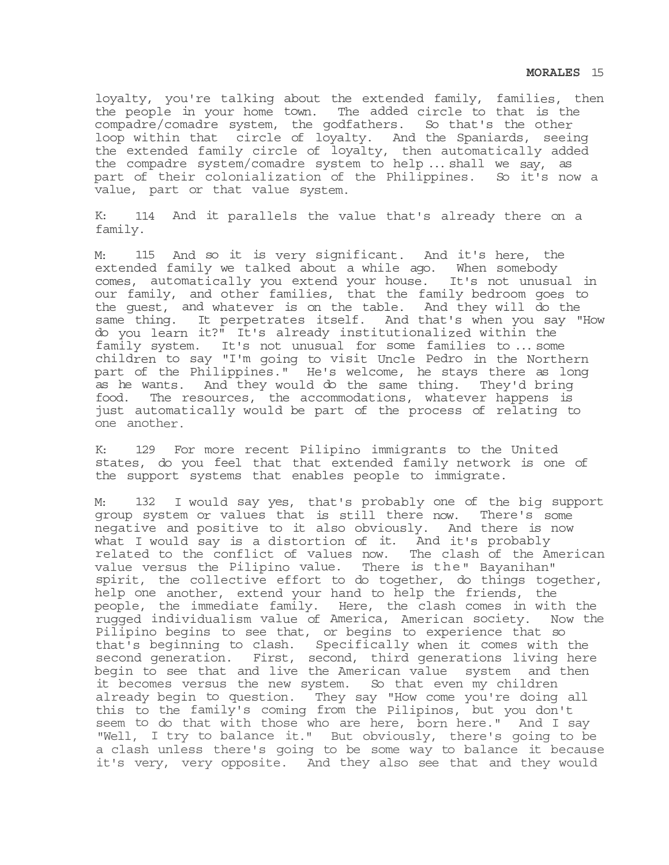loyalty, you're talking about the extended family, families, then the people in your home town. The added circle to that is the compadre/comadre system, the godfathers. So that's the other loop within that circle of loyalty. And the Spaniards, seeing the extended family circle of loyalty, then automatically added the compadre system/comadre system to help ... shall we say, as part of their colonialization of the Philippines. So it's now a value, part or that value system.

K: 114 And it parallels the value that's already there on a family.

M: 115 And so it is very significant. And it's here, the extended family we talked about a while ago. When somebody comes, automatically you extend your house. It's not unusual in our family, and other families, that the family bedroom goes to the guest, and whatever is on the table. And they will do the same thing. It perpetrates itself. And that's when you say "How do you learn it?" It's already institutionalized within the family system. It's not unusual for some families to ... some children to say "I'm going to visit Uncle Pedro in the Northern part of the Philippines." He's welcome, he stays there as long as he wants. And they would do the same thing. They'd bring food. The resources, the accommodations, whatever happens is just automatically would be part of the process of relating to one another.

K: 129 For more recent Pilipino immigrants to the United states, do you feel that that extended family network is one of the support systems that enables people to immigrate.

M: 132 I would say yes, that's probably one of the big support group system or values that is still there now. There's some negative and positive to it also obviously. And there is now what I would say is a distortion of it. And it's probably related to the conflict of values now. The clash of the American value versus the Pilipino value. There is the" Bayanihan" spirit, the collective effort to do together, do things together, help one another, extend your hand to help the friends, the people, the immediate family. Here, the clash comes in with the rugged individualism value of America, American society. Now the Pilipino begins to see that, or begins to experience that so that's beginning to clash. Specifically when it comes with the second generation. First, second, third generations living here begin to see that and live the American value system and then it becomes versus the new system. So that even my children already begin to question. They say "How come you're doing all this to the family's coming from the Pilipinos, but you don't seem to do that with those who are here, born here." And I say "Well, I try to balance it." But obviously, there's going to be a clash unless there's going to be some way to balance it because it's very, very opposite. And they also see that and they would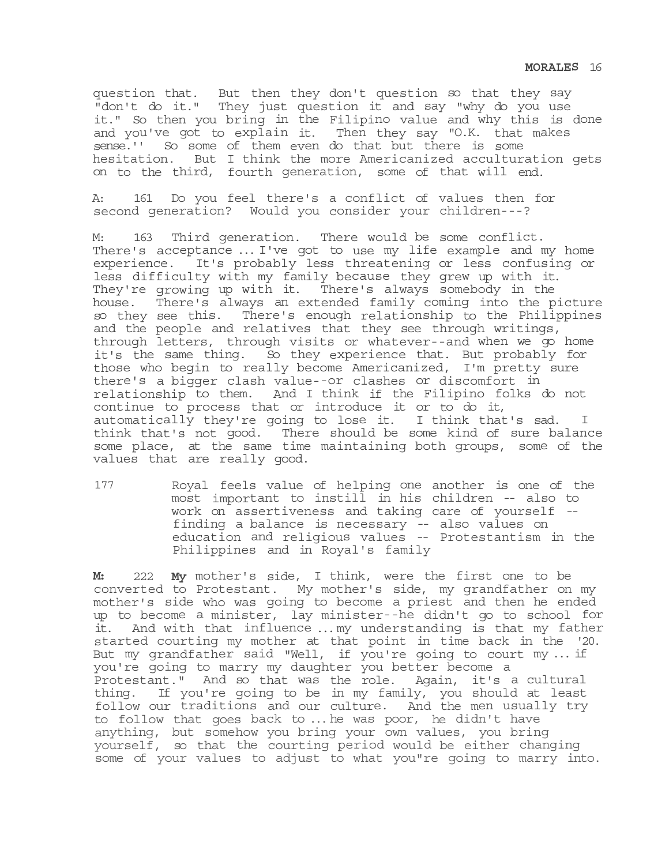question that. But then they don't question so that they say "don't do it." They just question it and say "why do you use it." So then you bring in the Filipino value and why this is done and you've got to explain it. Then they say "O.K. that makes sense.'' So some of them even do that but there is some hesitation. But I think the more Americanized acculturation gets on to the third, fourth generation, some of that will end.

A: 161 Do you feel there's a conflict of values then for second generation? Would you consider your children---?

M: 163 Third generation. There would be some conflict. There's acceptance ... I've got to use my life example and my home experience. It's probably less threatening or less confusing or less difficulty with my family because they grew up with it. They're growing up with it. There's always somebody in the house. There's always an extended family coming into the picture so they see this. There's enough relationship to the Philippines and the people and relatives that they see through writings, through letters, through visits or whatever--and when we go home it's the same thing. So they experience that. But probably for those who begin to really become Americanized, I'm pretty sure there's a bigger clash value--or clashes or discomfort in relationship to them. And I think if the Filipino folks do not continue to process that or introduce it or to do it, automatically they're going to lose it. I think that's sad. I think that's not good. There should be some kind of sure balance some place, at the same time maintaining both groups, some of the values that are really good.

177 Royal feels value of helping one another is one of the most important to instill in his children -- also to work on assertiveness and taking care of yourself - finding a balance is necessary -- also values on education and religious values -- Protestantism in the Philippines and in Royal's family

**M:** 222 **My** mother's side, I think, were the first one to be converted to Protestant. My mother's side, my grandfather on my mother's side who was going to become a priest and then he ended up to become a minister, lay minister--he didn't go to school for it. And with that influence ... my understanding is that my father started courting my mother at that point in time back in the '20. But my grandfather said "Well, if you're going to court my ... if you're going to marry my daughter you better become a Protestant." And so that was the role. Again, it's a cultural thing. If you're going to be in my family, you should at least follow our traditions and our culture. And the men usually try to follow that goes back to ... he was poor, he didn't have anything, but somehow you bring your own values, you bring yourself, so that the courting period would be either changing some of your values to adjust to what you"re going to marry into.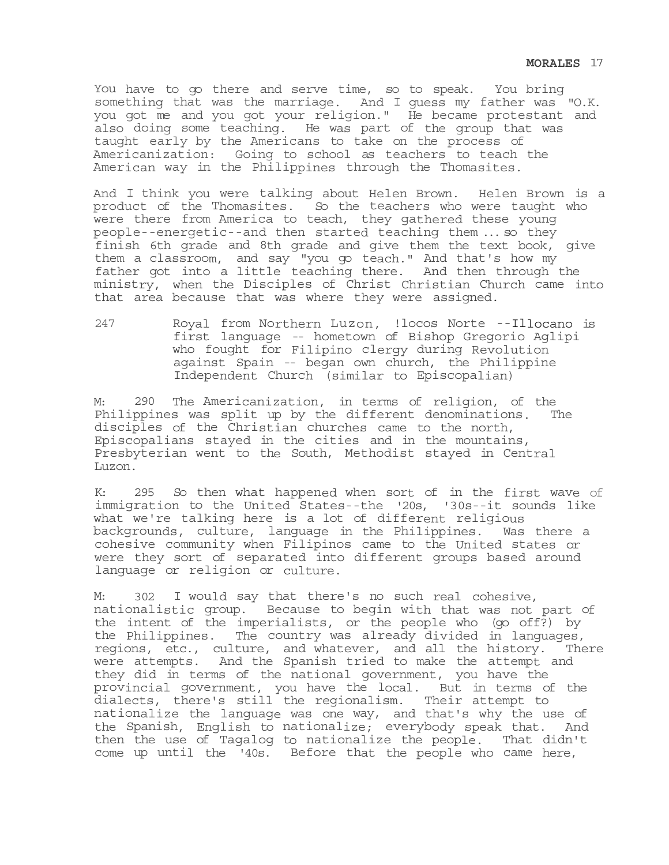You have to go there and serve time, so to speak. You bring something that was the marriage. And I guess my father was "O.K. you got me and you got your religion." He became protestant and also doing some teaching. He was part of the group that was taught early by the Americans to take on the process of Americanization: Going to school as teachers to teach the American way in the Philippines through the Thomasites.

And I think you were talking about Helen Brown. Helen Brown is a product of the Thomasites. So the teachers who were taught who were there from America to teach, they gathered these young people--energetic--and then started teaching them ... so they finish 6th grade and 8th grade and give them the text book, give them a classroom, and say "you go teach." And that's how my father got into a little teaching there. And then through the ministry, when the Disciples of Christ Christian Church came into that area because that was where they were assigned.

247 Royal from Northern Luzon, !locos Norte --Illocano is first language -- hometown of Bishop Gregorio Aglipi who fought for Filipino clergy during Revolution against Spain -- began own church, the Philippine Independent Church (similar to Episcopalian)

M: 290 The Americanization, in terms of religion, of the Philippines was split up by the different denominations. The disciples of the Christian churches came to the north, Episcopalians stayed in the cities and in the mountains, Presbyterian went to the South, Methodist stayed in Central Luzon.

K: 295 So then what happened when sort of in the first wave of immigration to the United States--the '20s, '30s--it sounds like what we're talking here is a lot of different religious backgrounds, culture, language in the Philippines. Was there a cohesive community when Filipinos came to the United states or were they sort of separated into different groups based around language or religion or culture.

M: 302 I would say that there's no such real cohesive, nationalistic group. Because to begin with that was not part of the intent of the imperialists, or the people who (go off?) by the Philippines. The country was already divided in languages, regions, etc., culture, and whatever, and all the history. There were attempts. And the Spanish tried to make the attempt and they did in terms of the national government, you have the provincial government, you have the local. But in terms of the dialects, there's still the regionalism. Their attempt to nationalize the language was one way, and that's why the use of the Spanish, English to nationalize; everybody speak that. And then the use of Tagalog to nationalize the people. That didn't come up until the '40s. Before that the people who came here,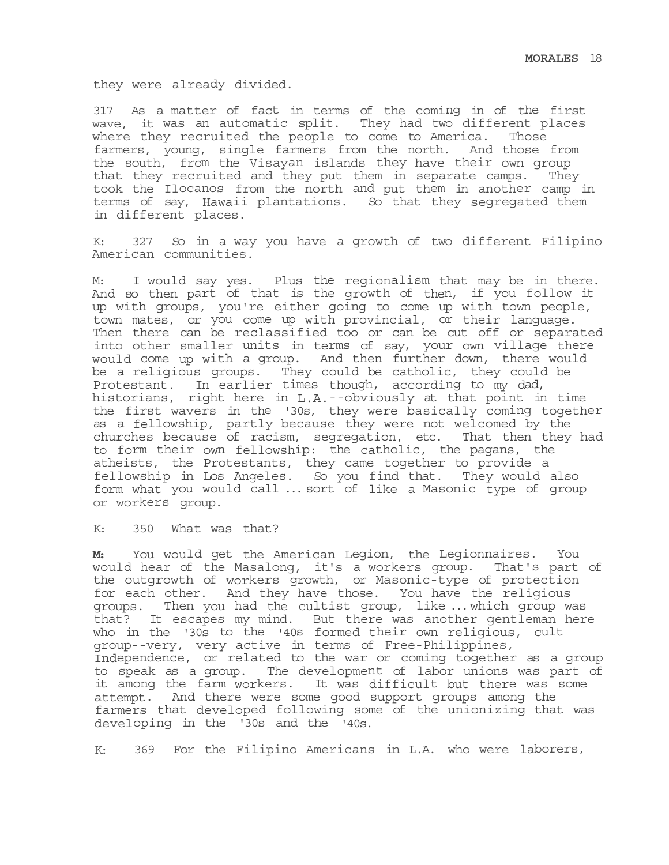they were already divided.

317 As a matter of fact in terms of the coming in of the first wave, it was an automatic split. They had two different places where they recruited the people to come to America. Those farmers, young, single farmers from the north. And those from the south, from the Visayan islands they have their own group that they recruited and they put them in separate camps. They took the Ilocanos from the north and put them in another camp in terms of say, Hawaii plantations. So that they segregated them in different places.

K: 327 So in a way you have a growth of two different Filipino American communities.

M: I would say yes. Plus the regionalism that may be in there. And so then part of that is the growth of then, if you follow it up with groups, you're either going to come up with town people, town mates, or you come up with provincial, or their language. Then there can be reclassified too or can be cut off or separated into other smaller units in terms of say, your own village there would come up with a group. And then further down, there would be a religious groups. They could be catholic, they could be Protestant. In earlier times though, according to my dad, historians, right here in L.A.--obviously at that point in time the first wavers in the '30s, they were basically coming together as a fellowship, partly because they were not welcomed by the churches because of racism, segregation, etc. That then they had to form their own fellowship: the catholic, the pagans, the atheists, the Protestants, they came together to provide a fellowship in Los Angeles. So you find that. They would also form what you would call ... sort of like a Masonic type of group or workers group.

K: 350 What was that?

**M:** You would get the American Legion, the Legionnaires. You would hear of the Masalong, it's a workers group. That's part of the outgrowth of workers growth, or Masonic-type of protection for each other. And they have those. You have the religious groups. Then you had the cultist group, like ... which group was that? It escapes my mind. But there was another gentleman here who in the '30s to the '40s formed their own religious, cult group--very, very active in terms of Free-Philippines, Independence, or related to the war or coming together as a group to speak as a group. The development of labor unions was part of it among the farm workers. It was difficult but there was some attempt. And there were some good support groups among the farmers that developed following some of the unionizing that was developing in the '30s and the '40s.

K: 369 For the Filipino Americans in L.A. who were laborers,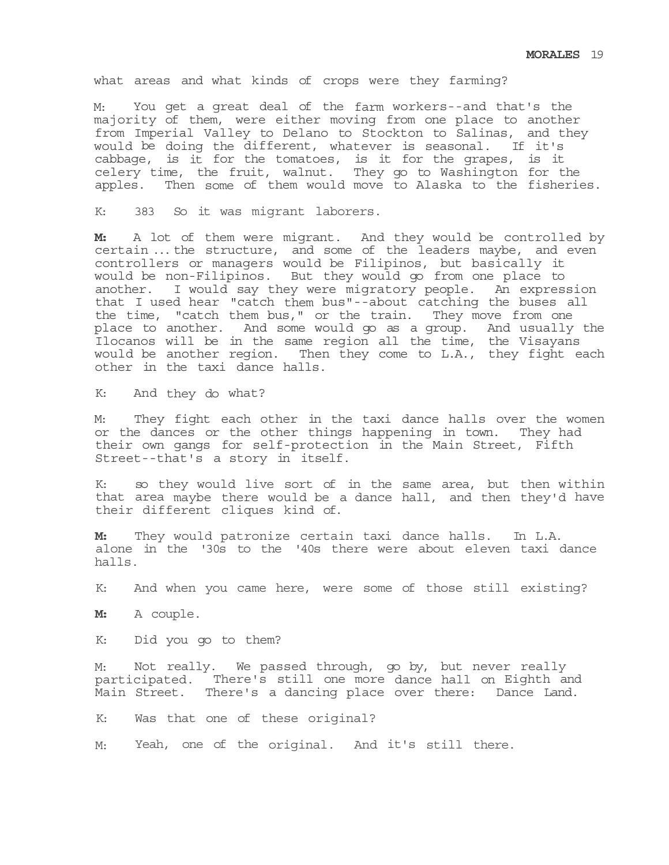what areas and what kinds of crops were they farming?

M: You get a great deal of the farm workers--and that's the majority of them, were either moving from one place to another from Imperial Valley to Delano to Stockton to Salinas, and they would be doing the different, whatever is seasonal. If it's cabbage, is it for the tomatoes, is it for the grapes, is it celery time, the fruit, walnut. They go to Washington for the apples. Then some of them would move to Alaska to the fisheries.

K: 383 So it was migrant laborers.

**M:** A lot of them were migrant. And they would be controlled by certain ... the structure, and some of the leaders maybe, and even controllers or managers would be Filipinos, but basically it would be non-Filipinos. But they would go from one place to another. I would say they were migratory people. An expression that I used hear "catch them bus"--about catching the buses all the time, "catch them bus," or the train. They move from one place to another. And some would go as a group. And usually the Ilocanos will be in the same region all the time, the Visayans would be another region. Then they come to L.A., they fight each other in the taxi dance halls.

K: And they do what?

M: They fight each other in the taxi dance halls over the women or the dances or the other things happening in town. They had their own gangs for self-protection in the Main Street, Fifth Street--that's a story in itself.

K: so they would live sort of in the same area, but then within that area maybe there would be a dance hall, and then they'd have their different cliques kind of.

**M:** They would patronize certain taxi dance halls. In L.A. alone in the '30s to the '40s there were about eleven taxi dance halls.

K: And when you came here, were some of those still existing?

**M:** A couple.

K: Did you go to them?

M: Not really. We passed through, go by, but never really participated. There's still one more dance hall on Eighth and Main Street. There's a dancing place over there: Dance Land.

K: Was that one of these original?

M: Yeah, one of the original. And it's still there.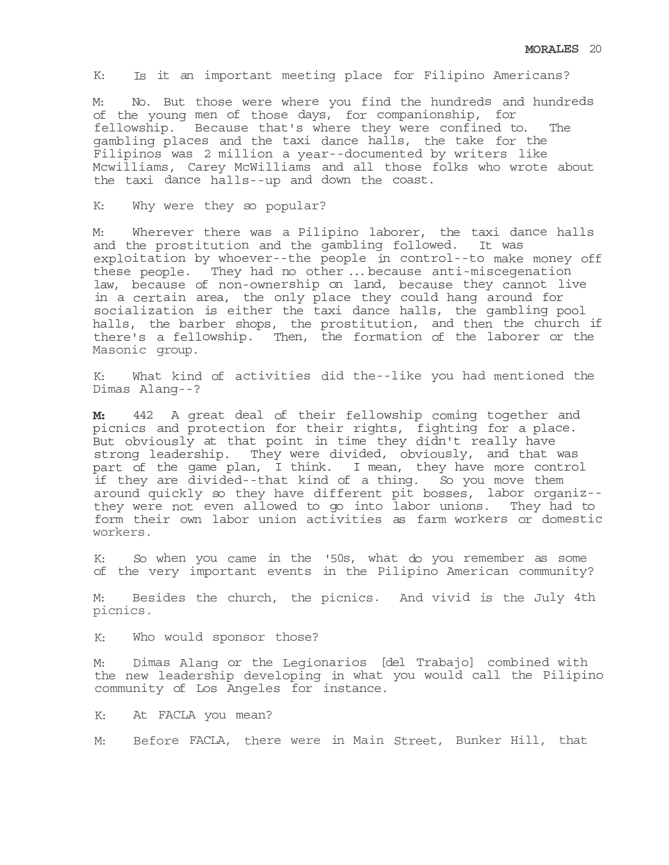K: Is it an important meeting place for Filipino Americans?

M: No. But those were where you find the hundreds and hundreds of the young men of those days, for companionship, for fellowship. Because that's where they were confined to. The gambling places and the taxi dance halls, the take for the Filipinos was 2 million a year--documented by writers like Mcwilliams, Carey McWilliams and all those folks who wrote about the taxi dance halls--up and down the coast.

K: Why were they so popular?

M: Wherever there was a Pilipino laborer, the taxi dance halls and the prostitution and the gambling followed. It was exploitation by whoever--the people in control--to make money off these people. They had no other ... because anti-miscegenation law, because of non-ownership on land, because they cannot live in a certain area, the only place they could hang around for socialization is either the taxi dance halls, the gambling pool halls, the barber shops, the prostitution, and then the church if there's a fellowship. Then, the formation of the laborer or the Masonic group.

K: What kind of activities did the--like you had mentioned the Dimas Alang--?

**M:** 442 A great deal of their fellowship coming together and picnics and protection for their rights, fighting for a place. But obviously at that point in time they didn't really have strong leadership. They were divided, obviously, and that was part of the game plan, I think. I mean, they have more control if they are divided--that kind of a thing. So you move them around quickly so they have different pit bosses, labor organiz- they were not even allowed to go into labor unions. They had to form their own labor union activities as farm workers or domestic workers.

K: So when you came in the '50s, what do you remember as some of the very important events in the Pilipino American community?

M: Besides the church, the picnics. And vivid is the July 4th picnics.

K: Who would sponsor those?

M: Dimas Alang or the Legionarios [del Trabajo] combined with the new leadership developing in what you would call the Pilipino community of Los Angeles for instance.

K: At FACLA you mean?

M: Before FACLA, there were in Main Street, Bunker Hill, that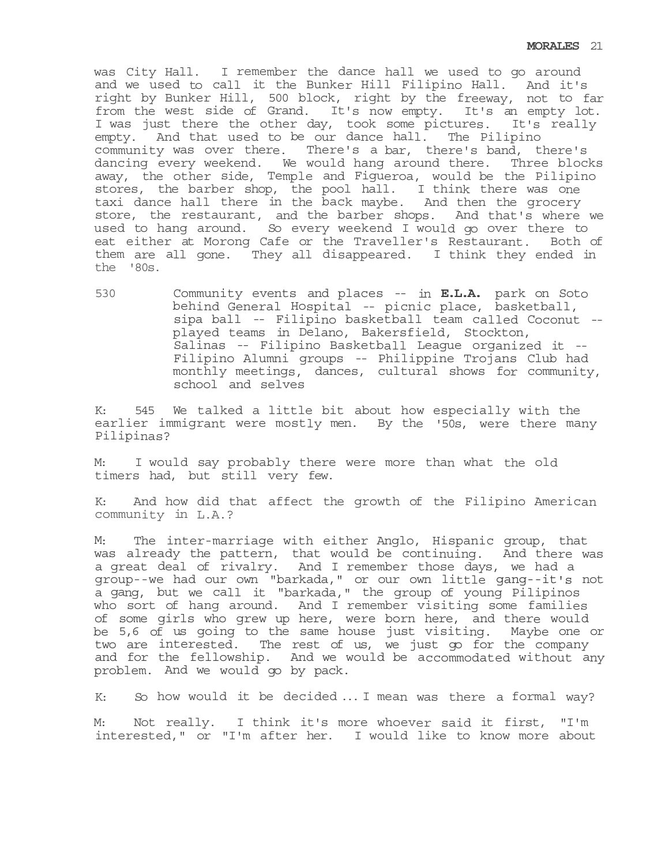was City Hall. I remember the dance hall we used to go around and we used to call it the Bunker Hill Filipino Hall. And it's right by Bunker Hill, 500 block, right by the freeway, not to far from the west side of Grand. It's now empty. It's an empty lot. I was just there the other day, took some pictures. It's really empty. And that used to be our dance hall. The Pilipino community was over there. There's a bar, there's band, there's dancing every weekend. We would hang around there. Three blocks away, the other side, Temple and Figueroa, would be the Pilipino stores, the barber shop, the pool hall. I think there was one taxi dance hall there in the back maybe. And then the grocery store, the restaurant, and the barber shops. And that's where we used to hang around. So every weekend I would go over there to eat either at Morong Cafe or the Traveller's Restaurant. Both of them are all gone. They all disappeared. I think they ended in the '80s.

530 Community events and places -- in **E.L.A.** park on Soto behind General Hospital -- picnic place, basketball, sipa ball -- Filipino basketball team called Coconut - played teams in Delano, Bakersfield, Stockton, Salinas -- Filipino Basketball League organized it -- Filipino Alumni groups -- Philippine Trojans Club had monthly meetings, dances, cultural shows for community, school and selves

K: 545 We talked a little bit about how especially with the earlier immigrant were mostly men. By the '50s, were there many Pilipinas?

M: I would say probably there were more than what the old timers had, but still very few.

K: And how did that affect the growth of the Filipino American community in L.A.?

M: The inter-marriage with either Anglo, Hispanic group, that was already the pattern, that would be continuing. And there was a great deal of rivalry. And I remember those days, we had a group--we had our own "barkada," or our own little gang--it's not a gang, but we call it "barkada," the group of young Pilipinos who sort of hang around. And I remember visiting some families of some girls who grew up here, were born here, and there would be 5,6 of us going to the same house just visiting. Maybe one or two are interested. The rest of us, we just go for the company and for the fellowship. And we would be accommodated without any problem. And we would go by pack.

K: So how would it be decided ... I mean was there a formal way?

M: Not really. I think it's more whoever said it first, "I'm interested," or "I'm after her. I would like to know more about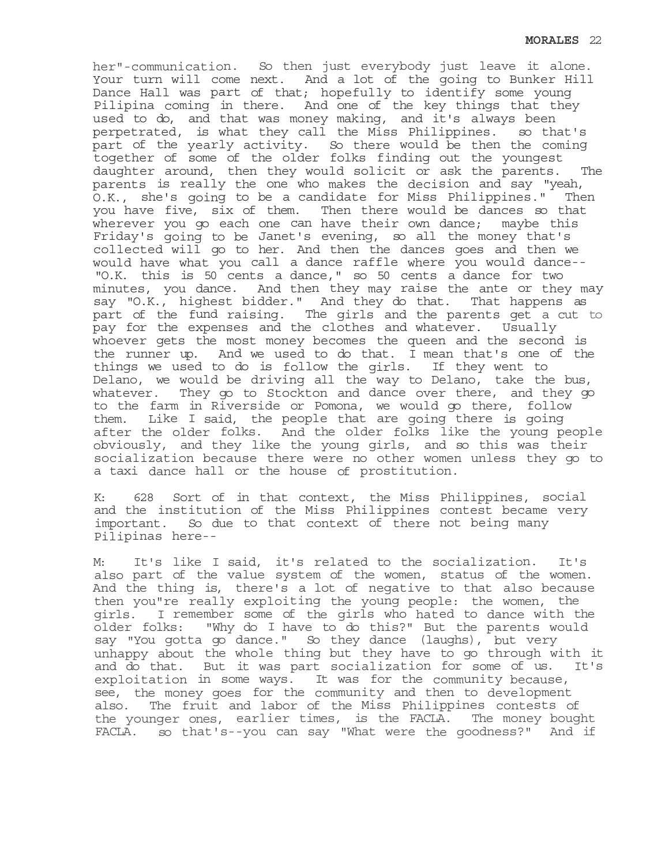her"-communication. So then just everybody just leave it alone. Your turn will come next. And a lot of the going to Bunker Hill Dance Hall was part of that; hopefully to identify some young Pilipina coming in there. And one of the key things that they used to do, and that was money making, and it's always been perpetrated, is what they call the Miss Philippines. so that's part of the yearly activity. So there would be then the coming together of some of the older folks finding out the youngest daughter around, then they would solicit or ask the parents. The parents is really the one who makes the decision and say "yeah, O.K., she's going to be a candidate for Miss Philippines." Then you have five, six of them. Then there would be dances so that wherever you go each one can have their own dance; maybe this Friday's going to be Janet's evening, so all the money that's collected will go to her. And then the dances goes and then we would have what you call a dance raffle where you would dance-- "O.K. this is 50 cents a dance," so 50 cents a dance for two minutes, you dance. And then they may raise the ante or they may say "O.K., highest bidder." And they do that. That happens as part of the fund raising. The girls and the parents get a cut to pay for the expenses and the clothes and whatever. Usually whoever gets the most money becomes the queen and the second is the runner up. And we used to do that. I mean that's one of the things we used to do is follow the girls. If they went to Delano, we would be driving all the way to Delano, take the bus, whatever. They go to Stockton and dance over there, and they go to the farm in Riverside or Pomona, we would go there, follow them. Like I said, the people that are going there is going after the older folks. And the older folks like the young people obviously, and they like the young girls, and so this was their socialization because there were no other women unless they go to a taxi dance hall or the house of prostitution.

K: 628 Sort of in that context, the Miss Philippines, social and the institution of the Miss Philippines contest became very important. So due to that context of there not being many Pilipinas here--

M: It's like I said, it's related to the socialization. It's also part of the value system of the women, status of the women. And the thing is, there's a lot of negative to that also because then you"re really exploiting the young people: the women, the girls. I remember some of the girls who hated to dance with the older folks: "Why do I have to do this?" But the parents would say "You gotta go dance." So they dance (laughs), but very unhappy about the whole thing but they have to go through with it and do that. But it was part socialization for some of us. It's exploitation in some ways. It was for the community because, see, the money goes for the community and then to development also. The fruit and labor of the Miss Philippines contests of the younger ones, earlier times, is the FACLA. The money bought FACLA. so that's--you can say "What were the goodness?" And if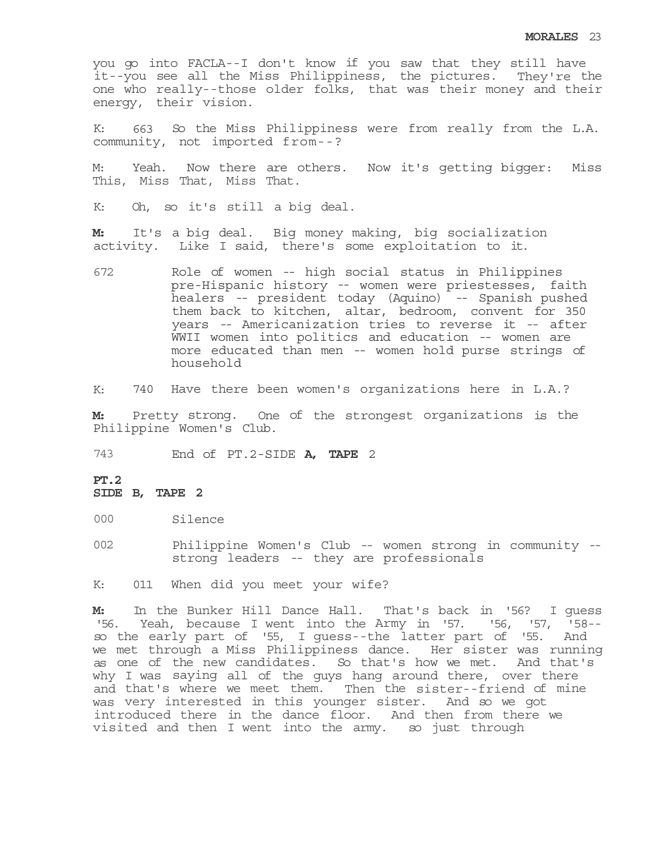you go into FACLA--I don't know if you saw that they still have it--you see all the Miss Philippiness, the pictures. They're the one who really--those older folks, that was their money and their energy, their vision.

K: 663 So the Miss Philippiness were from really from the L.A. community, not imported from--?

M: Yeah. Now there are others. Now it's getting bigger: Miss This, Miss That, Miss That.

K: Oh, so it's still a big deal.

**M:** It's a big deal. Big money making, big socialization activity. Like I said, there's some exploitation to it.

- 672 Role of women -- high social status in Philippines pre-Hispanic history -- women were priestesses, faith healers -- president today (Aquino) -- Spanish pushed them back to kitchen, altar, bedroom, convent for 350 years -- Americanization tries to reverse it -- after WWII women into politics and education -- women are more educated than men -- women hold purse strings of household
- K: 740 Have there been women's organizations here in L.A.?

**M:** Pretty strong. One of the strongest organizations is the Philippine Women's Club.

743 End of PT.2-SIDE **A, TAPE** 2

# **PT.2**

**SIDE B, TAPE 2** 

000 Silence

002 Philippine Women's Club -- women strong in community - strong leaders -- they are professionals

K: 011 When did you meet your wife?

**M:** In the Bunker Hill Dance Hall. That's back in '56? I guess '56. Yeah, because I went into the Army in '57. '56, '57, '58- so the early part of '55, I guess--the latter part of '55. And we met through a Miss Philippiness dance. Her sister was running as one of the new candidates. So that's how we met. And that's why I was saying all of the guys hang around there, over there and that's where we meet them. Then the sister--friend of mine was very interested in this younger sister. And so we got introduced there in the dance floor. And then from there we visited and then I went into the army. so just through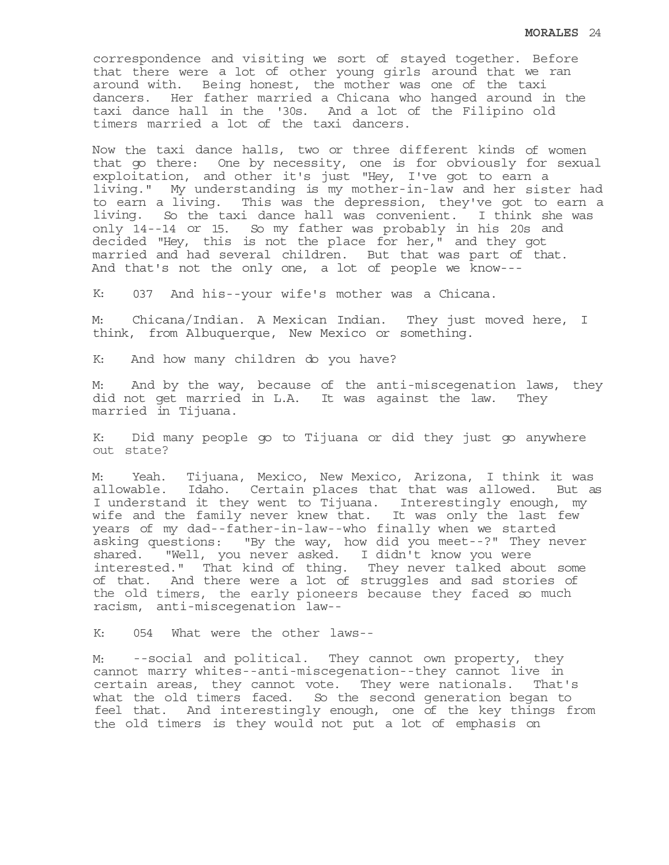correspondence and visiting we sort of stayed together. Before that there were a lot of other young girls around that we ran around with. Being honest, the mother was one of the taxi dancers. Her father married a Chicana who hanged around in the taxi dance hall in the '30s. And a lot of the Filipino old timers married a lot of the taxi dancers.

Now the taxi dance halls, two or three different kinds of women that go there: One by necessity, one is for obviously for sexual exploitation, and other it's just "Hey, I've got to earn a living." My understanding is my mother-in-law and her sister had to earn a living. This was the depression, they've got to earn a living. So the taxi dance hall was convenient. I think she was only 14--14 or 15. So my father was probably in his 20s and decided "Hey, this is not the place for her," and they got married and had several children. But that was part of that. And that's not the only one, a lot of people we know---

K: 037 And his--your wife's mother was a Chicana.

M: Chicana/Indian. A Mexican Indian. They just moved here, I think, from Albuquerque, New Mexico or something.

K: And how many children do you have?

M: And by the way, because of the anti-miscegenation laws, they did not get married in L.A. It was against the law. They married in Tijuana.

K: Did many people go to Tijuana or did they just go anywhere out state?

M: Yeah. Tijuana, Mexico, New Mexico, Arizona, I think it was allowable. Idaho. Certain places that that was allowed. But as I understand it they went to Tijuana. Interestingly enough, my wife and the family never knew that. It was only the last few years of my dad--father-in-law--who finally when we started asking questions: "By the way, how did you meet--?" They never shared. "Well, you never asked. I didn't know you were interested." That kind of thing. They never talked about some of that. And there were a lot of struggles and sad stories of the old timers, the early pioneers because they faced so much racism, anti-miscegenation law--

K: 054 What were the other laws--

M: --social and political. They cannot own property, they cannot marry whites--anti-miscegenation--they cannot live in certain areas, they cannot vote. They were nationals. That's what the old timers faced. So the second generation began to feel that. And interestingly enough, one of the key things from the old timers is they would not put a lot of emphasis on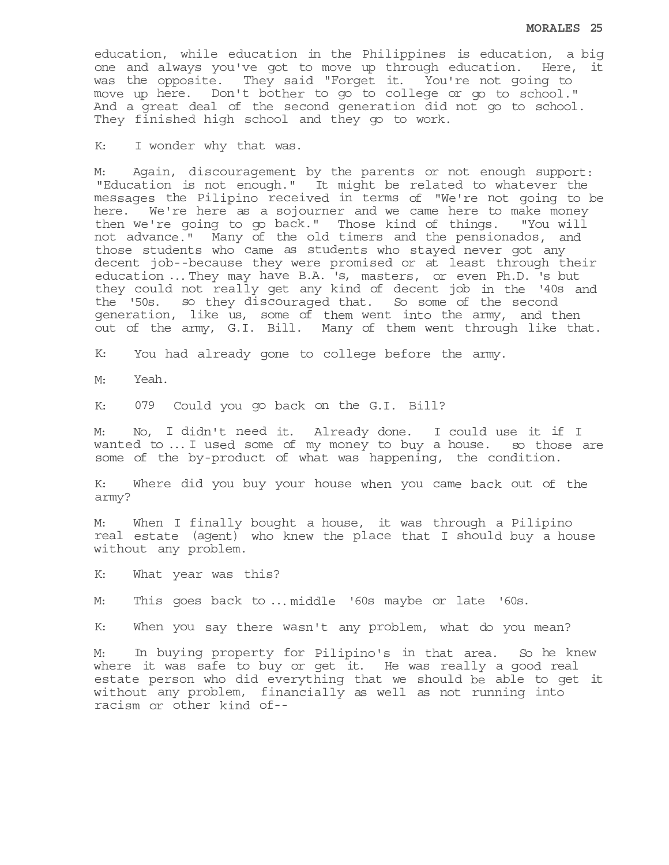education, while education in the Philippines is education, a big one and always you've got to move up through education. Here, it was the opposite. They said "Forget it. You're not going to move up here. Don't bother to go to college or go to school." And a great deal of the second generation did not go to school. They finished high school and they go to work.

K: I wonder why that was.

M: Again, discouragement by the parents or not enough support: "Education is not enough." It might be related to whatever the messages the Pilipino received in terms of "We're not going to be here. We're here as a sojourner and we came here to make money then we're going to go back." Those kind of things. "You will not advance." Many of the old timers and the pensionados, and those students who came as students who stayed never got any decent job--because they were promised or at least through their education ... They may have B.A. 's, masters, or even Ph.D. 's but they could not really get any kind of decent job in the '40s and the '50s. so they discouraged that. So some of the second generation, like us, some of them went into the army, and then out of the army, G.I. Bill. Many of them went through like that.

K: You had already gone to college before the army.

M: Yeah.

K: 079 Could you go back on the G.I. Bill?

M: No, I didn't need it. Already done. I could use it if I wanted to ... I used some of my money to buy a house. so those are some of the by-product of what was happening, the condition.

K: Where did you buy your house when you came back out of the army?

M: When I finally bought a house, it was through a Pilipino real estate (agent) who knew the place that I should buy a house without any problem.

K: What year was this?

M: This goes back to ... middle '60s maybe or late '60s.

K: When you say there wasn't any problem, what do you mean?

M: In buying property for Pilipino's in that area. So he knew where it was safe to buy or get it. He was really a good real estate person who did everything that we should be able to get it without any problem, financially as well as not running into racism or other kind of--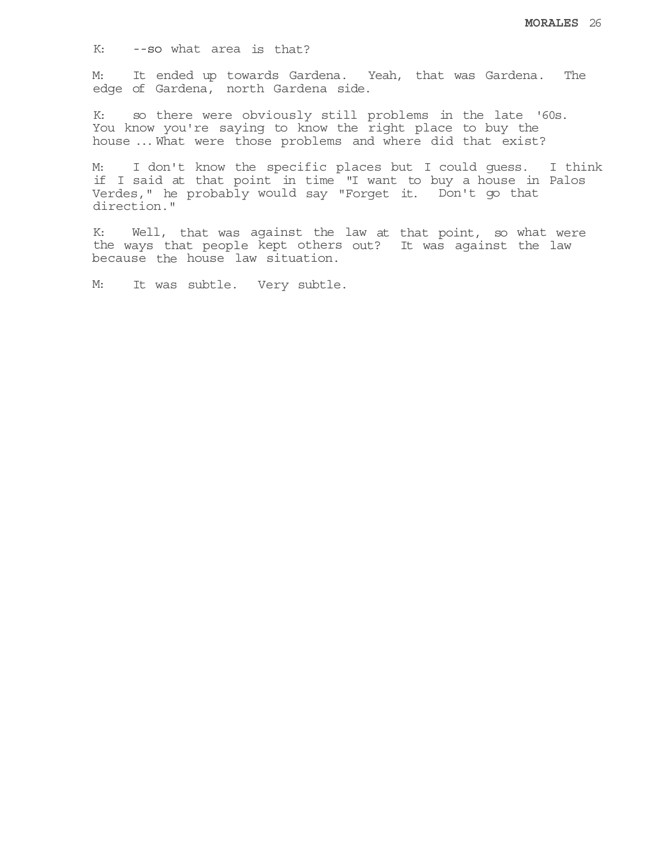K: --so what area is that?

M: It ended up towards Gardena. Yeah, that was Gardena. The edge of Gardena, north Gardena side.

K: so there were obviously still problems in the late '60s. You know you're saying to know the right place to buy the house ... What were those problems and where did that exist?

M: I don't know the specific places but I could guess. I think if I said at that point in time "I want to buy a house in Palos Verdes," he probably would say "Forget it. Don't go that direction."

K: Well, that was against the law at that point, so what were the ways that people kept others out? It was against the law because the house law situation.

M: It was subtle. Very subtle.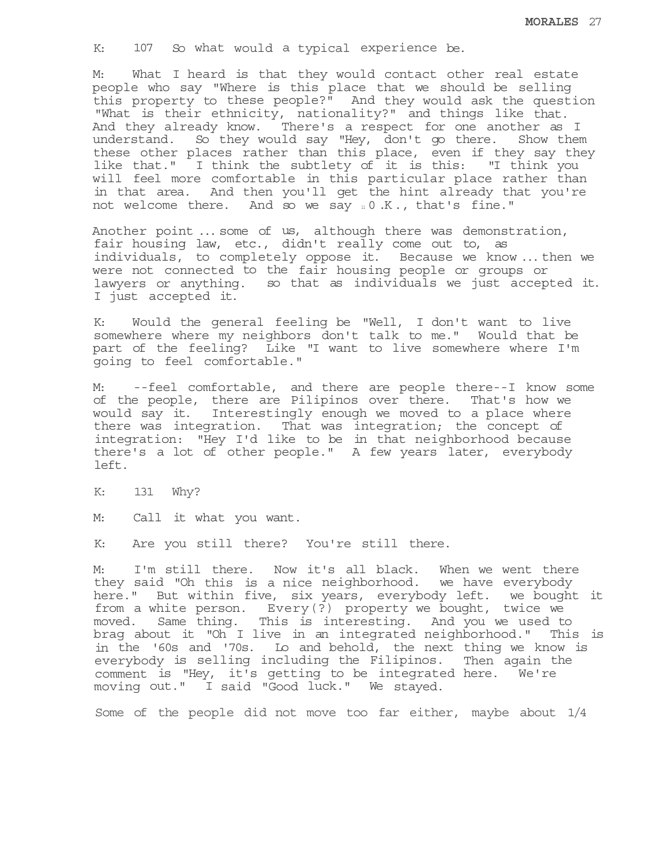K: 107 So what would a typical experience be.

M: What I heard is that they would contact other real estate people who say "Where is this place that we should be selling this property to these people?" And they would ask the question "What is their ethnicity, nationality?" and things like that. And they already know. There's a respect for one another as I understand. So they would say "Hey, don't go there. Show them these other places rather than this place, even if they say they like that." I think the subtlety of it is this: "I think you will feel more comfortable in this particular place rather than in that area. And then you'll get the hint already that you're not welcome there. And so we say  $n \in \mathbb{N}$ ., that's fine."

Another point ... some of us, although there was demonstration, fair housing law, etc., didn't really come out to, as individuals, to completely oppose it. Because we know ... then we were not connected to the fair housing people or groups or lawyers or anything. so that as individuals we just accepted it. I just accepted it.

K: Would the general feeling be "Well, I don't want to live somewhere where my neighbors don't talk to me." Would that be part of the feeling? Like "I want to live somewhere where I'm going to feel comfortable."

M: --feel comfortable, and there are people there--I know some of the people, there are Pilipinos over there. That's how we would say it. Interestingly enough we moved to a place where there was integration. That was integration; the concept of integration: "Hey I'd like to be in that neighborhood because there's a lot of other people." A few years later, everybody left.

K: 131 Why?

M: Call it what you want.

K: Are you still there? You're still there.

M: I'm still there. Now it's all black. When we went there they said "Oh this is a nice neighborhood. we have everybody here." But within five, six years, everybody left. we bought it from a white person. Every(?) property we bought, twice we moved. Same thing. This is interesting. And you we used to brag about it "Oh I live in an integrated neighborhood." This is in the '60s and '70s. Lo and behold, the next thing we know is everybody is selling including the Filipinos. Then again the comment is "Hey, it's getting to be integrated here. We're moving out." I said "Good luck." We stayed.

Some of the people did not move too far either, maybe about 1/4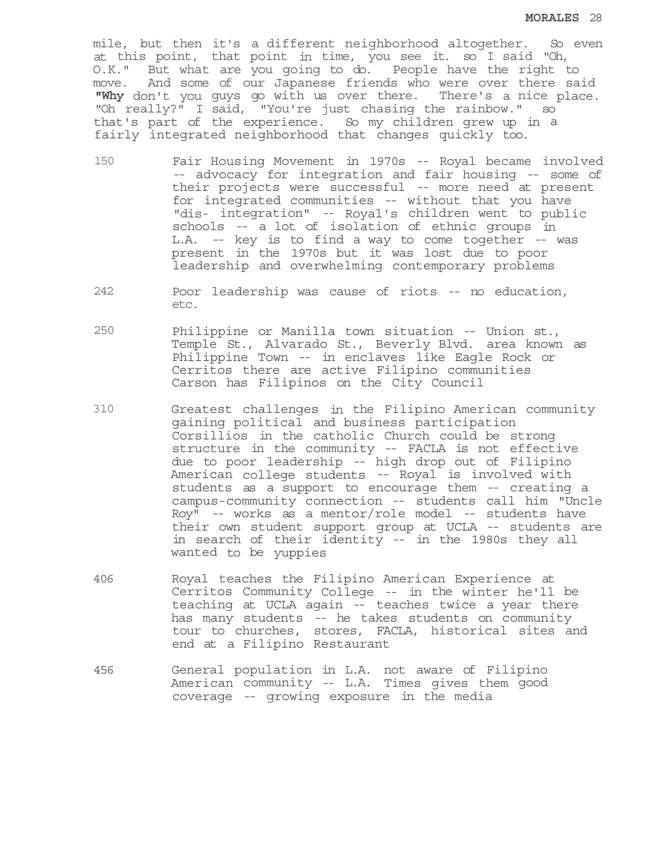mile, but then it's a different neighborhood altogether. So even at this point, that point in time, you see it. so I said "Oh, O.K." But what are you going to do. People have the right to move. And some of our Japanese friends who were over there said **"Why** don't you guys go with us over there. There's a nice place. "Oh really?" I said, "You're just chasing the rainbow." so that's part of the experience. So my children grew up in a fairly integrated neighborhood that changes quickly too.

- 150 Fair Housing Movement in 1970s -- Royal became involved -- advocacy for integration and fair housing -- some of their projects were successful -- more need at present for integrated communities -- without that you have "dis- integration" -- Royal's children went to public schools -- a lot of isolation of ethnic groups in L.A. -- key is to find a way to come together -- was present in the 1970s but it was lost due to poor leadership and overwhelming contemporary problems
- 242 Poor leadership was cause of riots -- no education, etc.
- 250 Philippine or Manilla town situation -- Union st., Temple St., Alvarado St., Beverly Blvd. area known as Philippine Town -- in enclaves like Eagle Rock or Cerritos there are active Filipino communities Carson has Filipinos on the City Council
- 310 Greatest challenges in the Filipino American community gaining political and business participation Corsillios in the catholic Church could be strong structure in the community -- FACLA is not effective due to poor leadership -- high drop out of Filipino American college students -- Royal is involved with students as a support to encourage them -- creating a campus-community connection -- students call him "Uncle Roy" -- works as a mentor/role model -- students have their own student support group at UCLA -- students are in search of their identity -- in the 1980s they all wanted to be yuppies
- 406 Royal teaches the Filipino American Experience at Cerritos Community College -- in the winter he'll be teaching at UCLA again -- teaches twice a year there has many students -- he takes students on community tour to churches, stores, FACLA, historical sites and end at a Filipino Restaurant
- 456 General population in L.A. not aware of Filipino American community -- L.A. Times gives them good coverage -- growing exposure in the media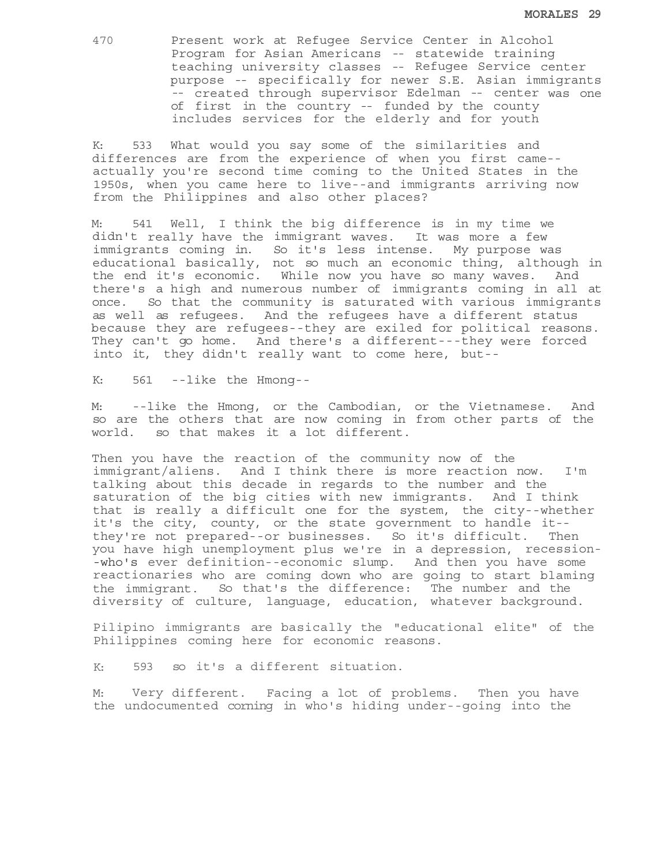470 Present work at Refugee Service Center in Alcohol Program for Asian Americans -- statewide training teaching university classes -- Refugee Service center purpose -- specifically for newer S.E. Asian immigrants -- created through supervisor Edelman -- center was one of first in the country -- funded by the county includes services for the elderly and for youth

K: 533 What would you say some of the similarities and differences are from the experience of when you first came- actually you're second time coming to the United States in the 1950s, when you came here to live--and immigrants arriving now from the Philippines and also other places?

M: 541 Well, I think the big difference is in my time we didn't really have the immigrant waves. It was more a few immigrants coming in. So it's less intense. My purpose was educational basically, not so much an economic thing, although in the end it's economic. While now you have so many waves. And there's a high and numerous number of immigrants coming in all at once. So that the community is saturated with various immigrants as well as refugees. And the refugees have a different status because they are refugees--they are exiled for political reasons. They can't go home. And there's a different---they were forced into it, they didn't really want to come here, but--

K: 561 --like the Hmong--

M: --like the Hmong, or the Cambodian, or the Vietnamese. And so are the others that are now coming in from other parts of the world. so that makes it a lot different.

Then you have the reaction of the community now of the immigrant/aliens. And I think there is more reaction now. I'm talking about this decade in regards to the number and the saturation of the big cities with new immigrants. And I think that is really a difficult one for the system, the city--whether it's the city, county, or the state government to handle it- they're not prepared--or businesses. So it's difficult. Then you have high unemployment plus we're in a depression, recession- -who's ever definition--economic slump. And then you have some reactionaries who are coming down who are going to start blaming the immigrant. So that's the difference: The number and the diversity of culture, language, education, whatever background.

Pilipino immigrants are basically the "educational elite" of the Philippines coming here for economic reasons.

K: 593 so it's a different situation.

M: Very different. Facing a lot of problems. Then you have the undocumented corning in who's hiding under--going into the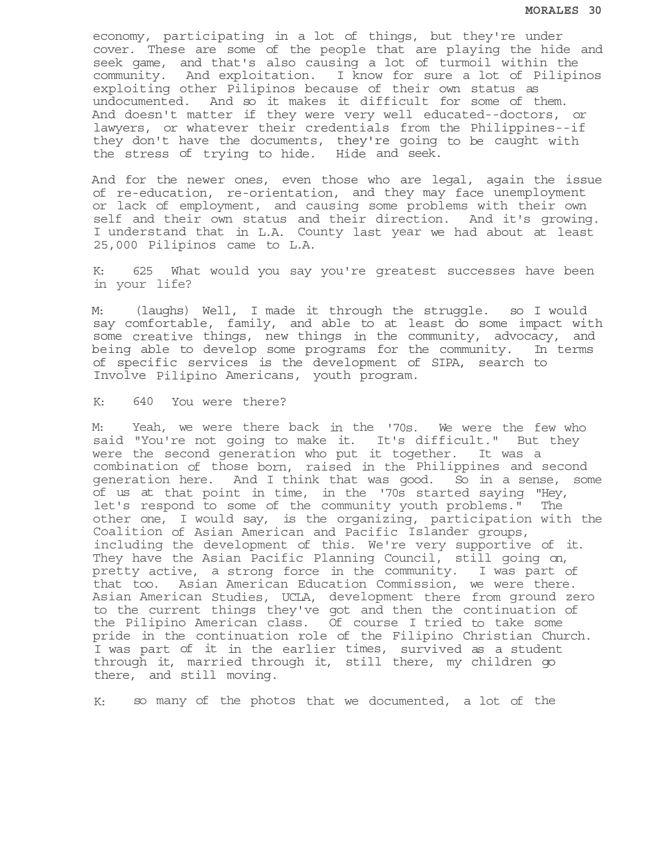economy, participating in a lot of things, but they're under cover. These are some of the people that are playing the hide and seek game, and that's also causing a lot of turmoil within the community. And exploitation. I know for sure a lot of Pilipinos exploiting other Pilipinos because of their own status as undocumented. And so it makes it difficult for some of them. And doesn't matter if they were very well educated--doctors, or lawyers, or whatever their credentials from the Philippines--if they don't have the documents, they're going to be caught with the stress of trying to hide. Hide and seek.

And for the newer ones, even those who are legal, again the issue of re-education, re-orientation, and they may face unemployment or lack of employment, and causing some problems with their own self and their own status and their direction. And it's growing. I understand that in L.A. County last year we had about at least 25,000 Pilipinos came to L.A.

K: 625 What would you say you're greatest successes have been in your life?

M: (laughs) Well, I made it through the struggle. so I would say comfortable, family, and able to at least do some impact with some creative things, new things in the community, advocacy, and being able to develop some programs for the community. In terms of specific services is the development of SIPA, search to Involve Pilipino Americans, youth program.

K: 640 You were there?

M: Yeah, we were there back in the '70s. We were the few who said "You're not going to make it. It's difficult." But they were the second generation who put it together. It was a combination of those born, raised in the Philippines and second generation here. And I think that was good. So in a sense, some of us at that point in time, in the '70s started saying "Hey, let's respond to some of the community youth problems." The other one, I would say, is the organizing, participation with the Coalition of Asian American and Pacific Islander groups, including the development of this. We're very supportive of it. They have the Asian Pacific Planning Council, still going on, pretty active, a strong force in the community. I was part of that too. Asian American Education Commission, we were there. Asian American Studies, UCLA, development there from ground zero to the current things they've got and then the continuation of the Pilipino American class. Of course I tried to take some pride in the continuation role of the Filipino Christian Church. I was part of it in the earlier times, survived as a student through it, married through it, still there, my children go there, and still moving.

K: so many of the photos that we documented, a lot of the